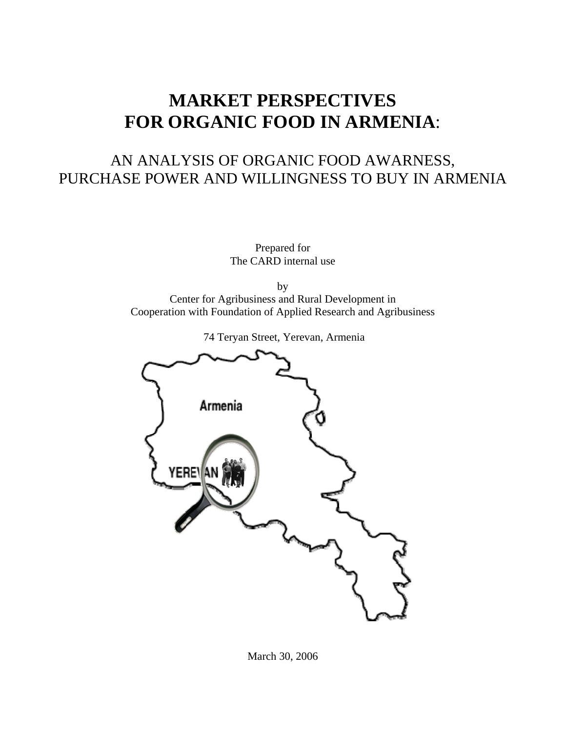# **MARKET PERSPECTIVES FOR ORGANIC FOOD IN ARMENIA**:

# AN ANALYSIS OF ORGANIC FOOD AWARNESS, PURCHASE POWER AND WILLINGNESS TO BUY IN ARMENIA

Prepared for The CARD internal use

by Center for Agribusiness and Rural Development in Cooperation with Foundation of Applied Research and Agribusiness



74 Teryan Street, Yerevan, Armenia

March 30, 2006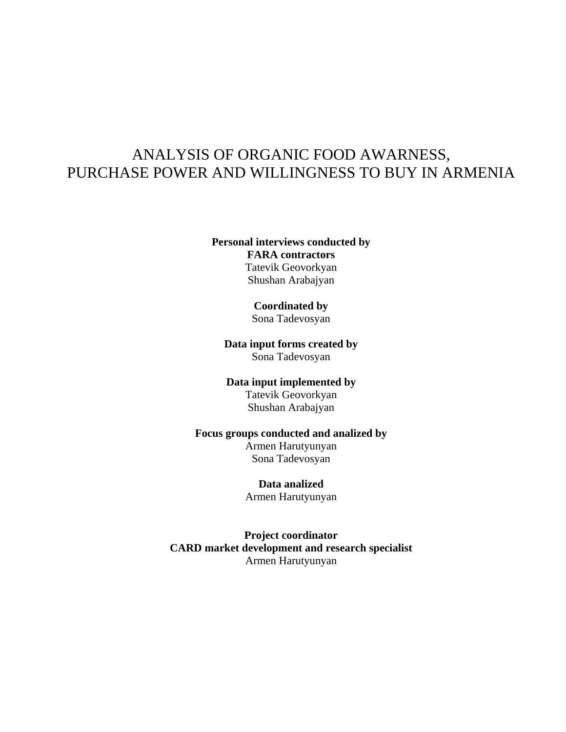## ANALYSIS OF ORGANIC FOOD AWARNESS, PURCHASE POWER AND WILLINGNESS TO BUY IN ARMENIA

#### **Personal interviews conducted by FARA contractors**  Tatevik Geovorkyan Shushan Arabajyan

#### **Coordinated by**

Sona Tadevosyan

#### **Data input forms created by**  Sona Tadevosyan

# **Data input implemented by**

## Tatevik Geovorkyan

Shushan Arabajyan

### **Focus groups conducted and analized by**

Armen Harutyunyan Sona Tadevosyan

## **Data analized**

Armen Harutyunyan

**Project coordinator CARD market development and research specialist**  Armen Harutyunyan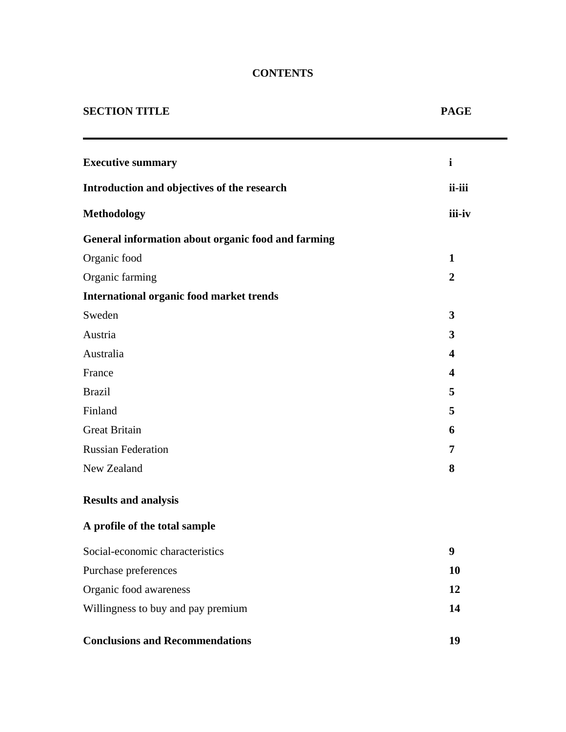## **CONTENTS**

۰

| <b>SECTION TITLE</b>                               | <b>PAGE</b>             |
|----------------------------------------------------|-------------------------|
| <b>Executive summary</b>                           | $\mathbf{i}$            |
| Introduction and objectives of the research        | ii-iii                  |
| <b>Methodology</b>                                 | iii-iv                  |
| General information about organic food and farming |                         |
| Organic food                                       | $\mathbf{1}$            |
| Organic farming                                    | $\overline{2}$          |
| <b>International organic food market trends</b>    |                         |
| Sweden                                             | 3                       |
| Austria                                            | 3                       |
| Australia                                          | 4                       |
| France                                             | $\overline{\mathbf{4}}$ |
| <b>Brazil</b>                                      | 5                       |
| Finland                                            | 5                       |
| <b>Great Britain</b>                               | 6                       |
| <b>Russian Federation</b>                          | 7                       |
| New Zealand                                        | 8                       |
| <b>Results and analysis</b>                        |                         |
| A profile of the total sample                      |                         |
| Social-economic characteristics                    | 9                       |
| Purchase preferences                               | 10                      |
| Organic food awareness                             | 12                      |
| Willingness to buy and pay premium                 | 14                      |
| <b>Conclusions and Recommendations</b>             | 19                      |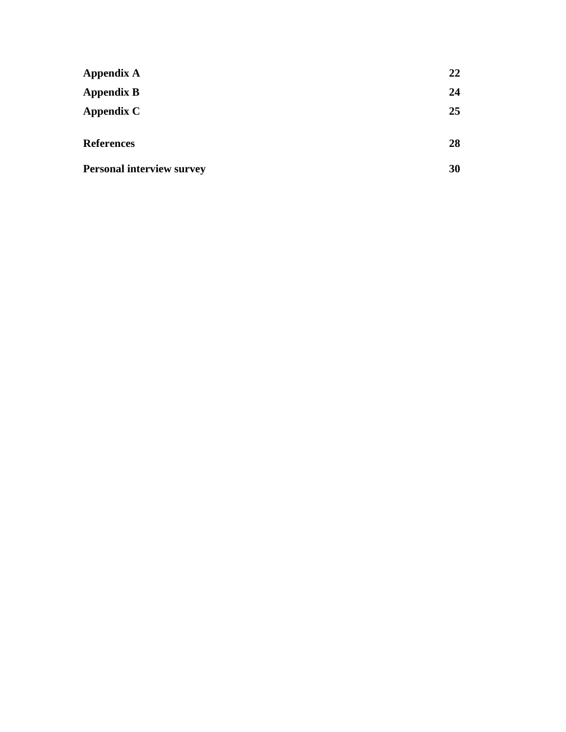| <b>Appendix A</b>                | 22 |
|----------------------------------|----|
| <b>Appendix B</b>                | 24 |
| Appendix C                       | 25 |
| <b>References</b>                | 28 |
| <b>Personal interview survey</b> | 30 |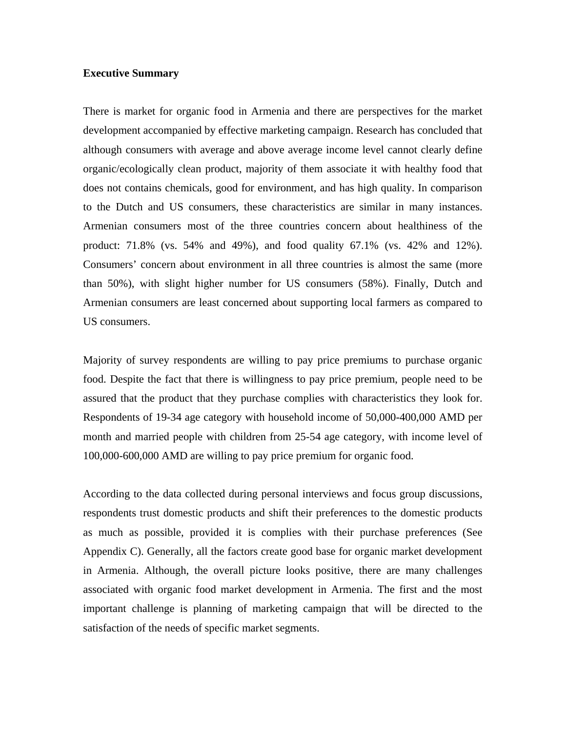#### **Executive Summary**

There is market for organic food in Armenia and there are perspectives for the market development accompanied by effective marketing campaign. Research has concluded that although consumers with average and above average income level cannot clearly define organic/ecologically clean product, majority of them associate it with healthy food that does not contains chemicals, good for environment, and has high quality. In comparison to the Dutch and US consumers, these characteristics are similar in many instances. Armenian consumers most of the three countries concern about healthiness of the product: 71.8% (vs. 54% and 49%), and food quality 67.1% (vs. 42% and 12%). Consumers' concern about environment in all three countries is almost the same (more than 50%), with slight higher number for US consumers (58%). Finally, Dutch and Armenian consumers are least concerned about supporting local farmers as compared to US consumers.

Majority of survey respondents are willing to pay price premiums to purchase organic food. Despite the fact that there is willingness to pay price premium, people need to be assured that the product that they purchase complies with characteristics they look for. Respondents of 19-34 age category with household income of 50,000-400,000 AMD per month and married people with children from 25-54 age category, with income level of 100,000-600,000 AMD are willing to pay price premium for organic food.

According to the data collected during personal interviews and focus group discussions, respondents trust domestic products and shift their preferences to the domestic products as much as possible, provided it is complies with their purchase preferences (See Appendix C). Generally, all the factors create good base for organic market development in Armenia. Although, the overall picture looks positive, there are many challenges associated with organic food market development in Armenia. The first and the most important challenge is planning of marketing campaign that will be directed to the satisfaction of the needs of specific market segments.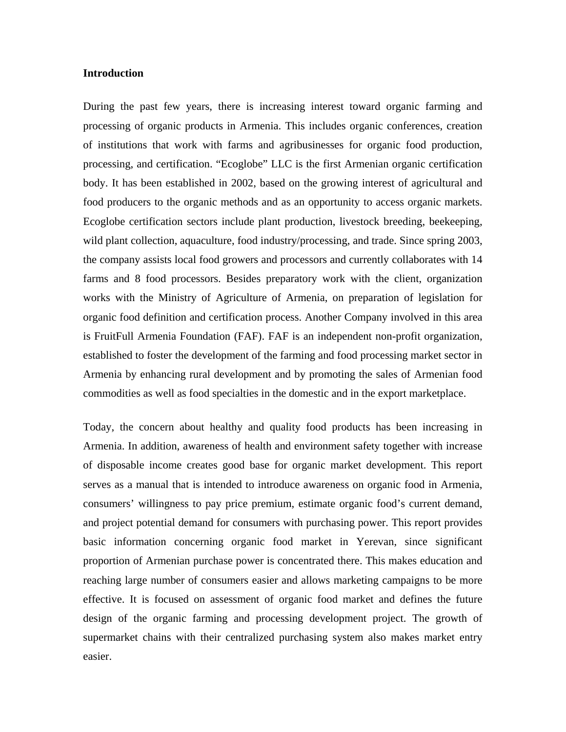#### **Introduction**

During the past few years, there is increasing interest toward organic farming and processing of organic products in Armenia. This includes organic conferences, creation of institutions that work with farms and agribusinesses for organic food production, processing, and certification. "Ecoglobe" LLC is the first Armenian organic certification body. It has been established in 2002, based on the growing interest of agricultural and food producers to the organic methods and as an opportunity to access organic markets. Ecoglobe certification sectors include plant production, livestock breeding, beekeeping, wild plant collection, aquaculture, food industry/processing, and trade. Since spring 2003, the company assists local food growers and processors and currently collaborates with 14 farms and 8 food processors. Besides preparatory work with the client, organization works with the Ministry of Agriculture of Armenia, on preparation of legislation for organic food definition and certification process. Another Company involved in this area is FruitFull Armenia Foundation (FAF). FAF is an independent non-profit organization, established to foster the development of the farming and food processing market sector in Armenia by enhancing rural development and by promoting the sales of Armenian food commodities as well as food specialties in the domestic and in the export marketplace.

Today, the concern about healthy and quality food products has been increasing in Armenia. In addition, awareness of health and environment safety together with increase of disposable income creates good base for organic market development. This report serves as a manual that is intended to introduce awareness on organic food in Armenia, consumers' willingness to pay price premium, estimate organic food's current demand, and project potential demand for consumers with purchasing power. This report provides basic information concerning organic food market in Yerevan, since significant proportion of Armenian purchase power is concentrated there. This makes education and reaching large number of consumers easier and allows marketing campaigns to be more effective. It is focused on assessment of organic food market and defines the future design of the organic farming and processing development project. The growth of supermarket chains with their centralized purchasing system also makes market entry easier.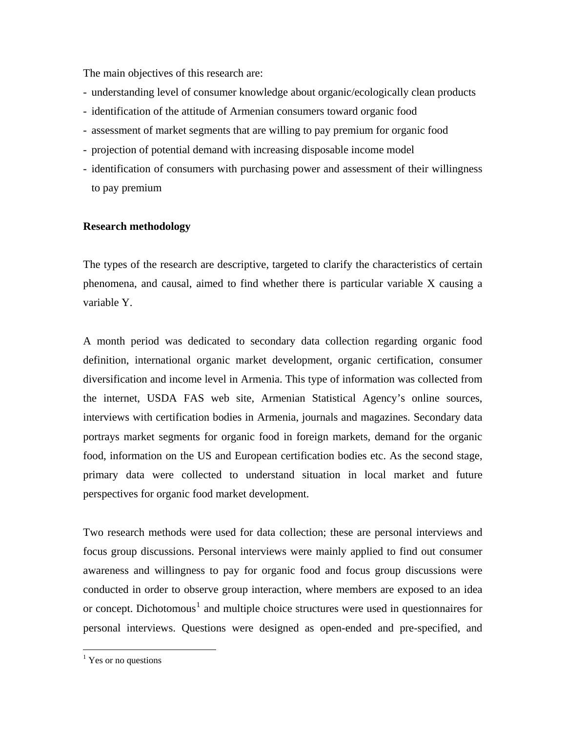The main objectives of this research are:

- understanding level of consumer knowledge about organic/ecologically clean products
- identification of the attitude of Armenian consumers toward organic food
- assessment of market segments that are willing to pay premium for organic food
- projection of potential demand with increasing disposable income model
- identification of consumers with purchasing power and assessment of their willingness to pay premium

#### **Research methodology**

The types of the research are descriptive, targeted to clarify the characteristics of certain phenomena, and causal, aimed to find whether there is particular variable X causing a variable Y.

A month period was dedicated to secondary data collection regarding organic food definition, international organic market development, organic certification, consumer diversification and income level in Armenia. This type of information was collected from the internet, USDA FAS web site, Armenian Statistical Agency's online sources, interviews with certification bodies in Armenia, journals and magazines. Secondary data portrays market segments for organic food in foreign markets, demand for the organic food, information on the US and European certification bodies etc. As the second stage, primary data were collected to understand situation in local market and future perspectives for organic food market development.

Two research methods were used for data collection; these are personal interviews and focus group discussions. Personal interviews were mainly applied to find out consumer awareness and willingness to pay for organic food and focus group discussions were conducted in order to observe group interaction, where members are exposed to an idea or concept. Dichotomous<sup>[1](#page-6-0)</sup> and multiple choice structures were used in questionnaires for personal interviews. Questions were designed as open-ended and pre-specified, and

 $\overline{a}$ 

<span id="page-6-0"></span><sup>&</sup>lt;sup>1</sup> Yes or no questions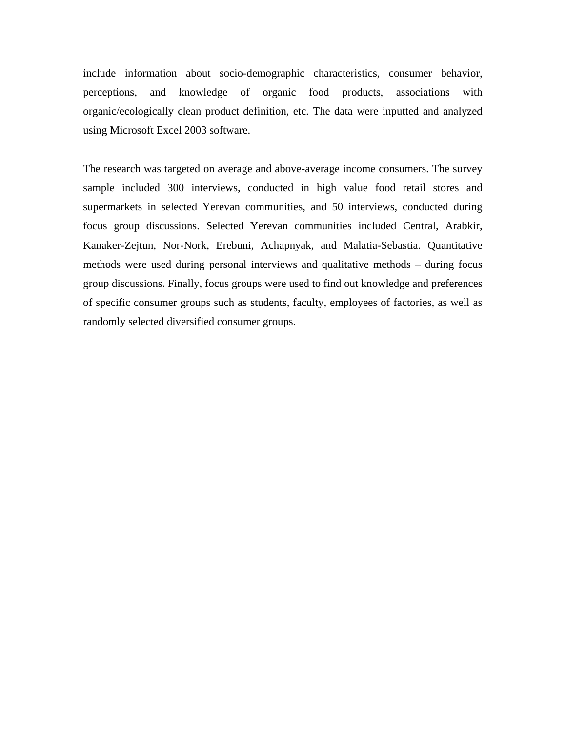include information about socio-demographic characteristics, consumer behavior, perceptions, and knowledge of organic food products, associations with organic/ecologically clean product definition, etc. The data were inputted and analyzed using Microsoft Excel 2003 software.

The research was targeted on average and above-average income consumers. The survey sample included 300 interviews, conducted in high value food retail stores and supermarkets in selected Yerevan communities, and 50 interviews, conducted during focus group discussions. Selected Yerevan communities included Central, Arabkir, Kanaker-Zejtun, Nor-Nork, Erebuni, Achapnyak, and Malatia-Sebastia. Quantitative methods were used during personal interviews and qualitative methods – during focus group discussions. Finally, focus groups were used to find out knowledge and preferences of specific consumer groups such as students, faculty, employees of factories, as well as randomly selected diversified consumer groups.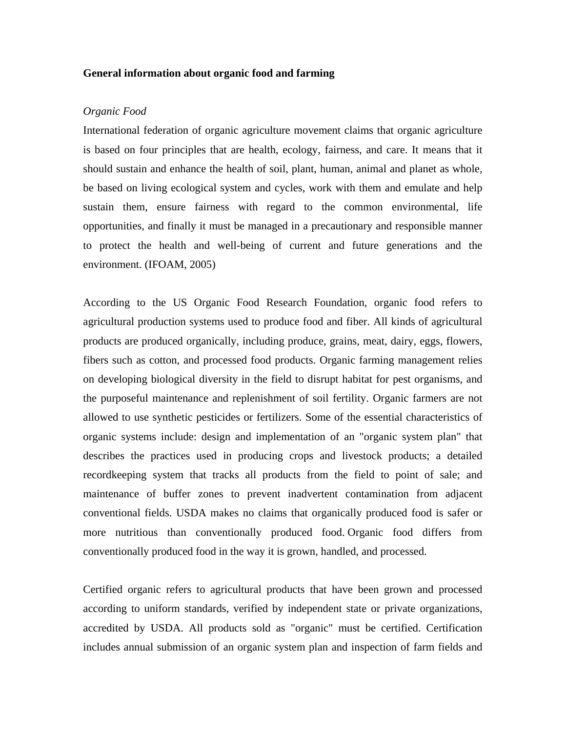#### **General information about organic food and farming**

#### *Organic Food*

International federation of organic agriculture movement claims that organic agriculture is based on four principles that are health, ecology, fairness, and care. It means that it should sustain and enhance the health of soil, plant, human, animal and planet as whole, be based on living ecological system and cycles, work with them and emulate and help sustain them, ensure fairness with regard to the common environmental, life opportunities, and finally it must be managed in a precautionary and responsible manner to protect the health and well-being of current and future generations and the environment. (IFOAM, 2005)

According to the US Organic Food Research Foundation, organic food refers to agricultural production systems used to produce food and fiber. All kinds of agricultural products are produced organically, including produce, grains, meat, dairy, eggs, flowers, fibers such as cotton, and processed food products. Organic farming management relies on developing biological diversity in the field to disrupt habitat for pest organisms, and the purposeful maintenance and replenishment of soil fertility. Organic farmers are not allowed to use synthetic pesticides or fertilizers. Some of the essential characteristics of organic systems include: design and implementation of an "organic system plan" that describes the practices used in producing crops and livestock products; a detailed recordkeeping system that tracks all products from the field to point of sale; and maintenance of buffer zones to prevent inadvertent contamination from adjacent conventional fields. USDA makes no claims that organically produced food is safer or more nutritious than conventionally produced food. Organic food differs from conventionally produced food in the way it is grown, handled, and processed.

Certified organic refers to agricultural products that have been grown and processed according to uniform standards, verified by independent state or private organizations, accredited by USDA. All products sold as "organic" must be certified. Certification includes annual submission of an organic system plan and inspection of farm fields and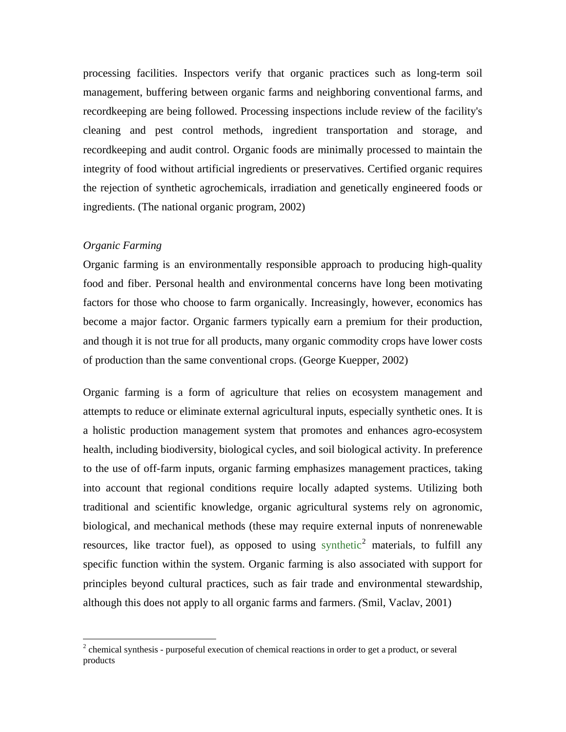processing facilities. Inspectors verify that organic practices such as long-term soil management, buffering between organic farms and neighboring conventional farms, and recordkeeping are being followed. Processing inspections include review of the facility's cleaning and pest control methods, ingredient transportation and storage, and recordkeeping and audit control. Organic foods are minimally processed to maintain the integrity of food without artificial ingredients or preservatives. Certified organic requires the rejection of synthetic agrochemicals, irradiation and genetically engineered foods or ingredients. (The national organic program, 2002)

#### *Organic Farming*

 $\overline{a}$ 

Organic farming is an environmentally responsible approach to producing high-quality food and fiber. Personal health and environmental concerns have long been motivating factors for those who choose to farm organically. Increasingly, however, economics has become a major factor. Organic farmers typically earn a premium for their production, and though it is not true for all products, many organic commodity crops have lower costs of production than the same conventional crops. (George Kuepper, 2002)

Organic farming is a form of [agriculture](http://en.wikipedia.org/wiki/Agriculture) that relies on [ecosystem](http://en.wikipedia.org/wiki/Ecosystem) management and attempts to reduce or eliminate external agricultural inputs, especially synthetic ones. It is a holistic production management system that promotes and enhances [agro-ecosystem](http://en.wikipedia.org/wiki/Sustainable_agriculture)  [health](http://en.wikipedia.org/wiki/Sustainable_agriculture), including [biodiversity](http://en.wikipedia.org/wiki/Biodiversity), biological cycles, and soil biological activity. In preference to the use of off-farm inputs, organic farming emphasizes management practices, taking into account that regional conditions require locally adapted systems. Utilizing both traditional and scientific knowledge, organic agricultural systems rely on agronomic, biological, and mechanical methods (these may require external inputs of nonrenewable resources, like tractor fuel), as opposed to using [synthetic](http://en.wikipedia.org/wiki/Chemical_synthesis)<sup>[2](#page-9-0)</sup> materials, to fulfill any specific function within the system. Organic farming is also associated with support for principles beyond cultural practices, such as [fair trade](http://en.wikipedia.org/wiki/Fair_trade) and environmental stewardship, although this does not apply to all organic farms and farmers. *(*Smil, Vaclav, 2001)

<span id="page-9-0"></span> $2$  chemical synthesis - purposeful execution of [chemical reactions](http://en.wikipedia.org/wiki/Chemical_reaction) in order to get a [product,](http://en.wikipedia.org/wiki/Product_%28chemistry%29) or several products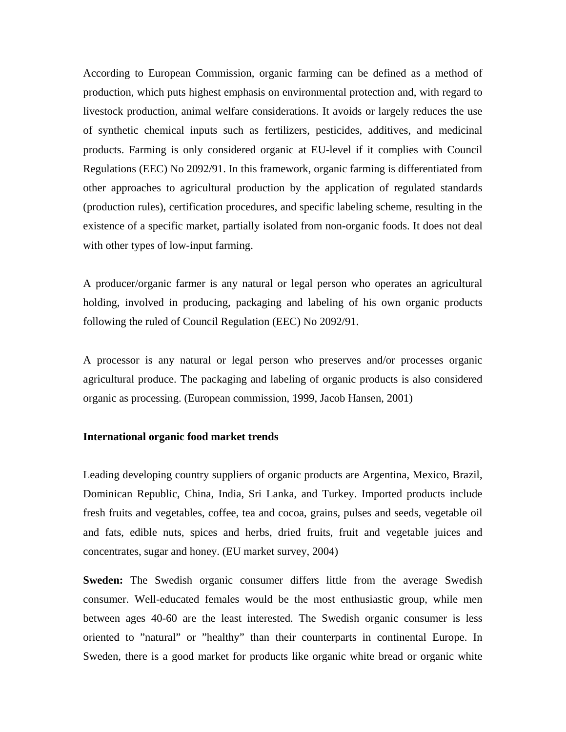According to European Commission, organic farming can be defined as a method of production, which puts highest emphasis on environmental protection and, with regard to livestock production, animal welfare considerations. It avoids or largely reduces the use of synthetic chemical inputs such as fertilizers, pesticides, additives, and medicinal products. Farming is only considered organic at EU-level if it complies with Council Regulations (EEC) No 2092/91. In this framework, organic farming is differentiated from other approaches to agricultural production by the application of regulated standards (production rules), certification procedures, and specific labeling scheme, resulting in the existence of a specific market, partially isolated from non-organic foods. It does not deal with other types of low-input farming.

A producer/organic farmer is any natural or legal person who operates an agricultural holding, involved in producing, packaging and labeling of his own organic products following the ruled of Council Regulation (EEC) No 2092/91.

A processor is any natural or legal person who preserves and/or processes organic agricultural produce. The packaging and labeling of organic products is also considered organic as processing. (European commission, 1999, Jacob Hansen, 2001)

#### **International organic food market trends**

Leading developing country suppliers of organic products are Argentina, Mexico, Brazil, Dominican Republic, China, India, Sri Lanka, and Turkey. Imported products include fresh fruits and vegetables, coffee, tea and cocoa, grains, pulses and seeds, vegetable oil and fats, edible nuts, spices and herbs, dried fruits, fruit and vegetable juices and concentrates, sugar and honey. (EU market survey, 2004)

**Sweden:** The Swedish organic consumer differs little from the average Swedish consumer. Well-educated females would be the most enthusiastic group, while men between ages 40-60 are the least interested. The Swedish organic consumer is less oriented to "natural" or "healthy" than their counterparts in continental Europe. In Sweden, there is a good market for products like organic white bread or organic white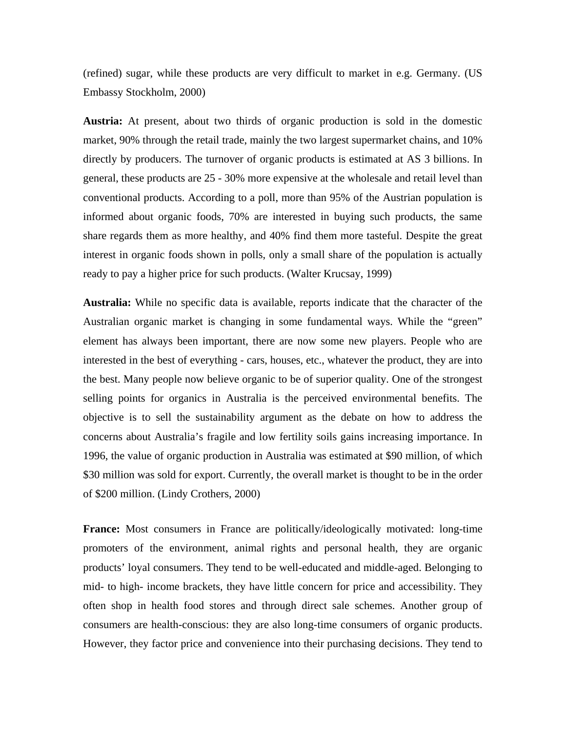(refined) sugar, while these products are very difficult to market in e.g. Germany. (US Embassy Stockholm, 2000)

**Austria:** At present, about two thirds of organic production is sold in the domestic market, 90% through the retail trade, mainly the two largest supermarket chains, and 10% directly by producers. The turnover of organic products is estimated at AS 3 billions. In general, these products are 25 - 30% more expensive at the wholesale and retail level than conventional products. According to a poll, more than 95% of the Austrian population is informed about organic foods, 70% are interested in buying such products, the same share regards them as more healthy, and 40% find them more tasteful. Despite the great interest in organic foods shown in polls, only a small share of the population is actually ready to pay a higher price for such products. (Walter Krucsay, 1999)

**Australia:** While no specific data is available, reports indicate that the character of the Australian organic market is changing in some fundamental ways. While the "green" element has always been important, there are now some new players. People who are interested in the best of everything - cars, houses, etc., whatever the product, they are into the best. Many people now believe organic to be of superior quality. One of the strongest selling points for organics in Australia is the perceived environmental benefits. The objective is to sell the sustainability argument as the debate on how to address the concerns about Australia's fragile and low fertility soils gains increasing importance. In 1996, the value of organic production in Australia was estimated at \$90 million, of which \$30 million was sold for export. Currently, the overall market is thought to be in the order of \$200 million. (Lindy Crothers, 2000)

**France:** Most consumers in France are politically/ideologically motivated: long-time promoters of the environment, animal rights and personal health, they are organic products' loyal consumers. They tend to be well-educated and middle-aged. Belonging to mid- to high- income brackets, they have little concern for price and accessibility. They often shop in health food stores and through direct sale schemes. Another group of consumers are health-conscious: they are also long-time consumers of organic products. However, they factor price and convenience into their purchasing decisions. They tend to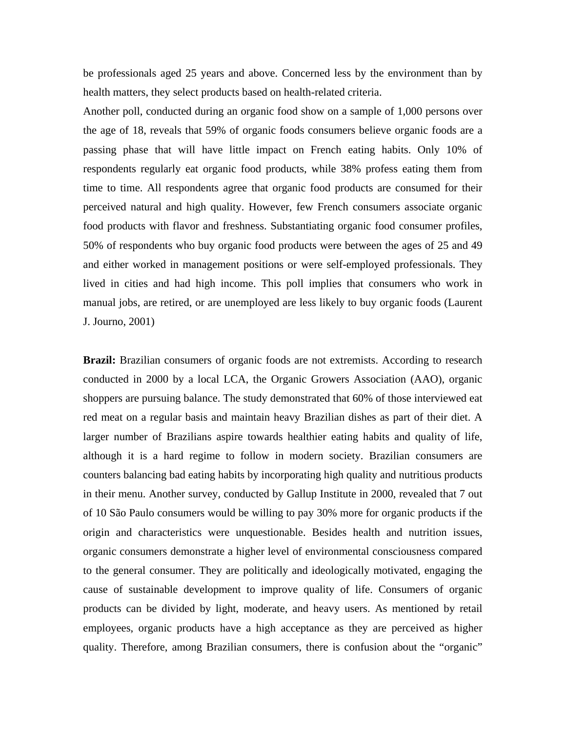be professionals aged 25 years and above. Concerned less by the environment than by health matters, they select products based on health-related criteria.

Another poll, conducted during an organic food show on a sample of 1,000 persons over the age of 18, reveals that 59% of organic foods consumers believe organic foods are a passing phase that will have little impact on French eating habits. Only 10% of respondents regularly eat organic food products, while 38% profess eating them from time to time. All respondents agree that organic food products are consumed for their perceived natural and high quality. However, few French consumers associate organic food products with flavor and freshness. Substantiating organic food consumer profiles, 50% of respondents who buy organic food products were between the ages of 25 and 49 and either worked in management positions or were self-employed professionals. They lived in cities and had high income. This poll implies that consumers who work in manual jobs, are retired, or are unemployed are less likely to buy organic foods (Laurent J. Journo, 2001)

Brazil: Brazilian consumers of organic foods are not extremists. According to research conducted in 2000 by a local LCA, the Organic Growers Association (AAO), organic shoppers are pursuing balance. The study demonstrated that 60% of those interviewed eat red meat on a regular basis and maintain heavy Brazilian dishes as part of their diet. A larger number of Brazilians aspire towards healthier eating habits and quality of life, although it is a hard regime to follow in modern society. Brazilian consumers are counters balancing bad eating habits by incorporating high quality and nutritious products in their menu. Another survey, conducted by Gallup Institute in 2000, revealed that 7 out of 10 São Paulo consumers would be willing to pay 30% more for organic products if the origin and characteristics were unquestionable. Besides health and nutrition issues, organic consumers demonstrate a higher level of environmental consciousness compared to the general consumer. They are politically and ideologically motivated, engaging the cause of sustainable development to improve quality of life. Consumers of organic products can be divided by light, moderate, and heavy users. As mentioned by retail employees, organic products have a high acceptance as they are perceived as higher quality. Therefore, among Brazilian consumers, there is confusion about the "organic"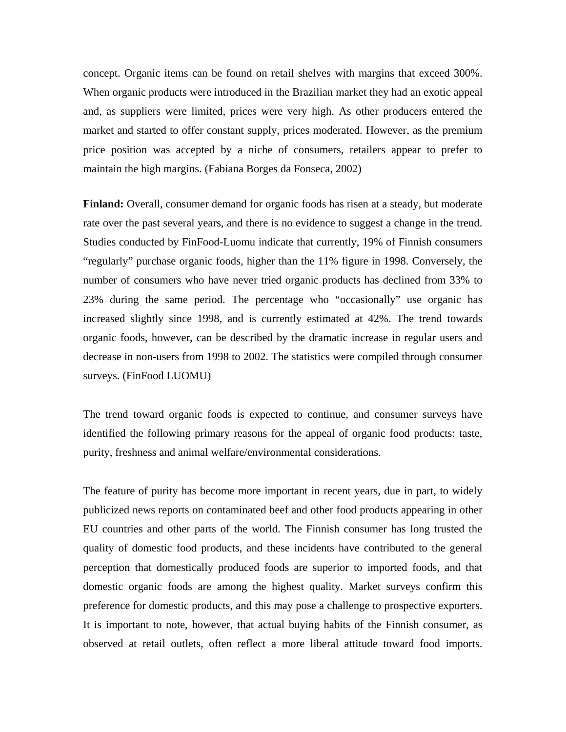concept. Organic items can be found on retail shelves with margins that exceed 300%. When organic products were introduced in the Brazilian market they had an exotic appeal and, as suppliers were limited, prices were very high. As other producers entered the market and started to offer constant supply, prices moderated. However, as the premium price position was accepted by a niche of consumers, retailers appear to prefer to maintain the high margins. (Fabiana Borges da Fonseca, 2002)

**Finland:** Overall, consumer demand for organic foods has risen at a steady, but moderate rate over the past several years, and there is no evidence to suggest a change in the trend. Studies conducted by FinFood-Luomu indicate that currently, 19% of Finnish consumers "regularly" purchase organic foods, higher than the 11% figure in 1998. Conversely, the number of consumers who have never tried organic products has declined from 33% to 23% during the same period. The percentage who "occasionally" use organic has increased slightly since 1998, and is currently estimated at 42%. The trend towards organic foods, however, can be described by the dramatic increase in regular users and decrease in non-users from 1998 to 2002. The statistics were compiled through consumer surveys. (FinFood LUOMU)

The trend toward organic foods is expected to continue, and consumer surveys have identified the following primary reasons for the appeal of organic food products: taste, purity, freshness and animal welfare/environmental considerations.

The feature of purity has become more important in recent years, due in part, to widely publicized news reports on contaminated beef and other food products appearing in other EU countries and other parts of the world. The Finnish consumer has long trusted the quality of domestic food products, and these incidents have contributed to the general perception that domestically produced foods are superior to imported foods, and that domestic organic foods are among the highest quality. Market surveys confirm this preference for domestic products, and this may pose a challenge to prospective exporters. It is important to note, however, that actual buying habits of the Finnish consumer, as observed at retail outlets, often reflect a more liberal attitude toward food imports.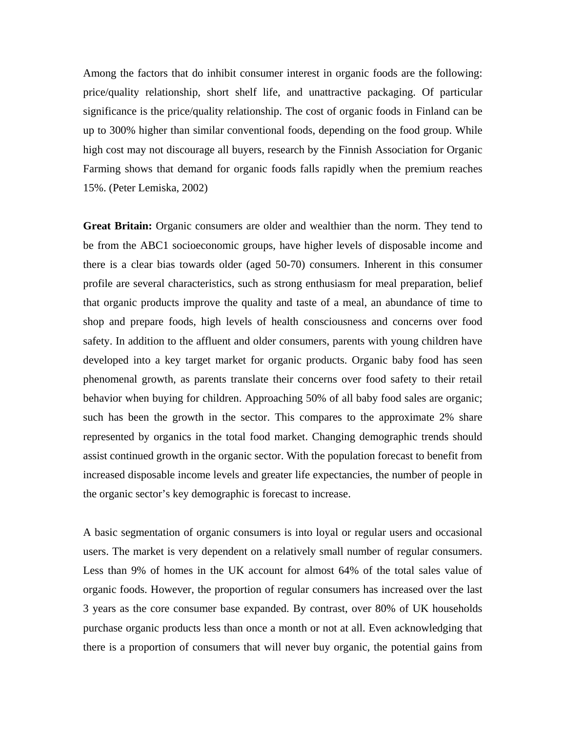Among the factors that do inhibit consumer interest in organic foods are the following: price/quality relationship, short shelf life, and unattractive packaging. Of particular significance is the price/quality relationship. The cost of organic foods in Finland can be up to 300% higher than similar conventional foods, depending on the food group. While high cost may not discourage all buyers, research by the Finnish Association for Organic Farming shows that demand for organic foods falls rapidly when the premium reaches 15%. (Peter Lemiska, 2002)

**Great Britain:** Organic consumers are older and wealthier than the norm. They tend to be from the ABC1 socioeconomic groups, have higher levels of disposable income and there is a clear bias towards older (aged 50-70) consumers. Inherent in this consumer profile are several characteristics, such as strong enthusiasm for meal preparation, belief that organic products improve the quality and taste of a meal, an abundance of time to shop and prepare foods, high levels of health consciousness and concerns over food safety. In addition to the affluent and older consumers, parents with young children have developed into a key target market for organic products. Organic baby food has seen phenomenal growth, as parents translate their concerns over food safety to their retail behavior when buying for children. Approaching 50% of all baby food sales are organic; such has been the growth in the sector. This compares to the approximate 2% share represented by organics in the total food market. Changing demographic trends should assist continued growth in the organic sector. With the population forecast to benefit from increased disposable income levels and greater life expectancies, the number of people in the organic sector's key demographic is forecast to increase.

A basic segmentation of organic consumers is into loyal or regular users and occasional users. The market is very dependent on a relatively small number of regular consumers. Less than 9% of homes in the UK account for almost 64% of the total sales value of organic foods. However, the proportion of regular consumers has increased over the last 3 years as the core consumer base expanded. By contrast, over 80% of UK households purchase organic products less than once a month or not at all. Even acknowledging that there is a proportion of consumers that will never buy organic, the potential gains from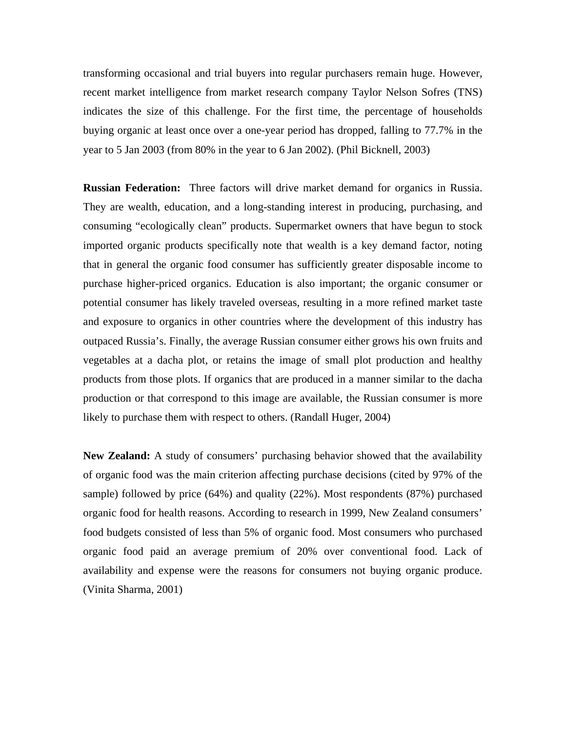transforming occasional and trial buyers into regular purchasers remain huge. However, recent market intelligence from market research company Taylor Nelson Sofres (TNS) indicates the size of this challenge. For the first time, the percentage of households buying organic at least once over a one-year period has dropped, falling to 77.7% in the year to 5 Jan 2003 (from 80% in the year to 6 Jan 2002). (Phil Bicknell, 2003)

**Russian Federation:** Three factors will drive market demand for organics in Russia. They are wealth, education, and a long-standing interest in producing, purchasing, and consuming "ecologically clean" products. Supermarket owners that have begun to stock imported organic products specifically note that wealth is a key demand factor, noting that in general the organic food consumer has sufficiently greater disposable income to purchase higher-priced organics. Education is also important; the organic consumer or potential consumer has likely traveled overseas, resulting in a more refined market taste and exposure to organics in other countries where the development of this industry has outpaced Russia's. Finally, the average Russian consumer either grows his own fruits and vegetables at a dacha plot, or retains the image of small plot production and healthy products from those plots. If organics that are produced in a manner similar to the dacha production or that correspond to this image are available, the Russian consumer is more likely to purchase them with respect to others. (Randall Huger, 2004)

**New Zealand:** A study of consumers' purchasing behavior showed that the availability of organic food was the main criterion affecting purchase decisions (cited by 97% of the sample) followed by price (64%) and quality (22%). Most respondents (87%) purchased organic food for health reasons. According to research in 1999, New Zealand consumers' food budgets consisted of less than 5% of organic food. Most consumers who purchased organic food paid an average premium of 20% over conventional food. Lack of availability and expense were the reasons for consumers not buying organic produce. (Vinita Sharma, 2001)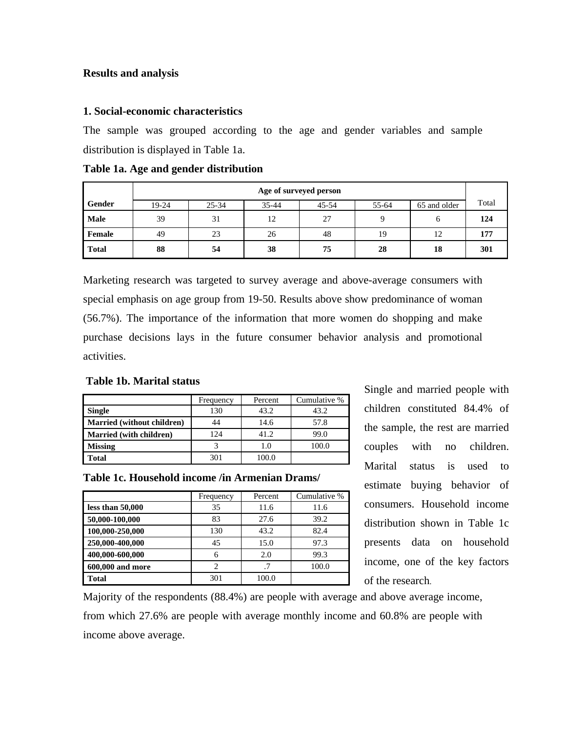#### **Results and analysis**

#### **1. Social-economic characteristics**

The sample was grouped according to the age and gender variables and sample distribution is displayed in Table 1a.

|              | Age of surveyed person |                                                              |    |    |    |    |     |  |  |
|--------------|------------------------|--------------------------------------------------------------|----|----|----|----|-----|--|--|
| Gender       | 19-24                  | 65 and older<br>$25 - 34$<br>$35 - 44$<br>55-64<br>$45 - 54$ |    |    |    |    |     |  |  |
| Male         | 39                     | 31                                                           | 12 | 27 |    | 6  | 124 |  |  |
| Female       | 49                     | 23                                                           | 26 | 48 | 19 | 12 | 177 |  |  |
| <b>Total</b> | 88                     | 54                                                           | 38 | 75 | 28 | 18 | 301 |  |  |

**Table 1a. Age and gender distribution** 

Marketing research was targeted to survey average and above-average consumers with special emphasis on age group from 19-50. Results above show predominance of woman (56.7%). The importance of the information that more women do shopping and make purchase decisions lays in the future consumer behavior analysis and promotional activities.

#### **Table 1b. Marital status**

|                                   | Frequency | Percent | Cumulative % |
|-----------------------------------|-----------|---------|--------------|
| <b>Single</b>                     | 130       | 43.2    | 43.2         |
| <b>Married (without children)</b> |           | 14.6    | 57.8         |
| <b>Married</b> (with children)    | 124       | 41.2    | 99.0         |
| <b>Missing</b>                    |           | 1.0     | 100.0        |
| <b>Total</b>                      | 301       | 100.0   |              |

**Table 1c. Household income /in Armenian Drams/** 

|                    | Frequency                     | Percent | Cumulative % |
|--------------------|-------------------------------|---------|--------------|
| less than $50,000$ | 35                            | 11.6    | 11.6         |
| 50,000-100,000     | 83                            | 27.6    | 39.2         |
| 100,000-250,000    | 130                           | 43.2    | 82.4         |
| 250,000-400,000    | 45                            | 15.0    | 97.3         |
| 400,000-600,000    | 6                             | 2.0     | 99.3         |
| 600,000 and more   | $\mathfrak{D}_{\mathfrak{p}}$ | .7      | 100.0        |
| Total              | 301                           | 100.0   |              |

Single and married people with children constituted 84.4% of the sample, the rest are married couples with no children. Marital status is used to estimate buying behavior of consumers. Household income distribution shown in Table 1c presents data on household income, one of the key factors of the research.

Majority of the respondents (88.4%) are people with average and above average income, from which 27.6% are people with average monthly income and 60.8% are people with income above average.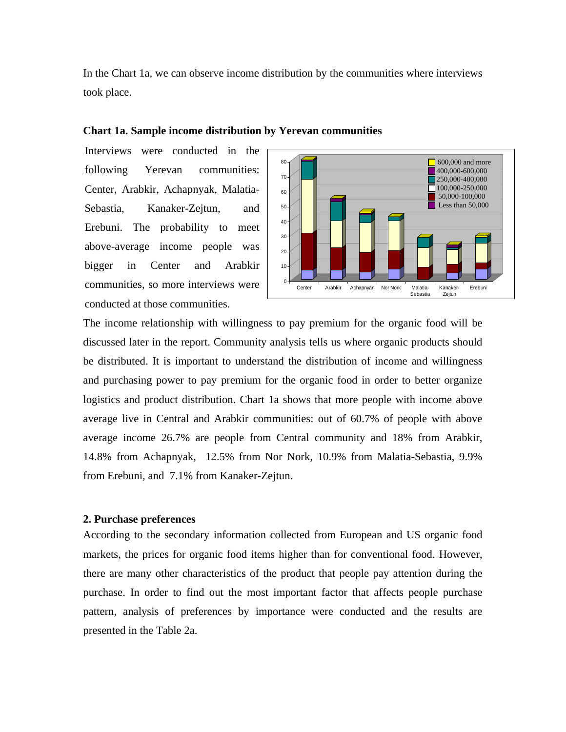In the Chart 1a, we can observe income distribution by the communities where interviews took place.

#### **Chart 1a. Sample income distribution by Yerevan communities**

Interviews were conducted in the following Yerevan communities: Center, Arabkir, Achapnyak, Malatia-Sebastia, Kanaker-Zejtun, and Erebuni. The probability to meet above-average income people was bigger in Center and Arabkir communities, so more interviews were conducted at those communities.



The income relationship with willingness to pay premium for the organic food will be discussed later in the report. Community analysis tells us where organic products should be distributed. It is important to understand the distribution of income and willingness and purchasing power to pay premium for the organic food in order to better organize logistics and product distribution. Chart 1a shows that more people with income above average live in Central and Arabkir communities: out of 60.7% of people with above average income 26.7% are people from Central community and 18% from Arabkir, 14.8% from Achapnyak, 12.5% from Nor Nork, 10.9% from Malatia-Sebastia, 9.9% from Erebuni, and 7.1% from Kanaker-Zejtun.

#### **2. Purchase preferences**

According to the secondary information collected from European and US organic food markets, the prices for organic food items higher than for conventional food. However, there are many other characteristics of the product that people pay attention during the purchase. In order to find out the most important factor that affects people purchase pattern, analysis of preferences by importance were conducted and the results are presented in the Table 2a.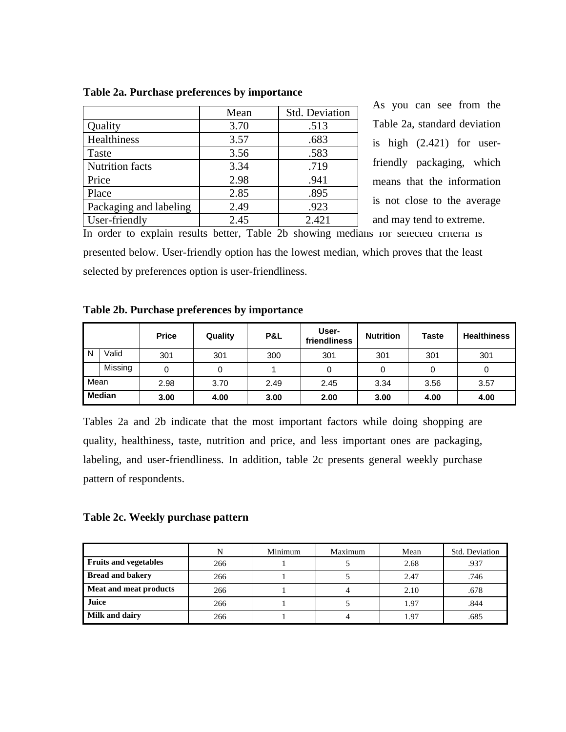|                        | Mean | Std. Deviation |
|------------------------|------|----------------|
| Quality                | 3.70 | .513           |
| Healthiness            | 3.57 | .683           |
| Taste                  | 3.56 | .583           |
| <b>Nutrition facts</b> | 3.34 | .719           |
| Price                  | 2.98 | .941           |
| Place                  | 2.85 | .895           |
| Packaging and labeling | 2.49 | .923           |
| User-friendly          | 2.45 | 2.421          |

**Table 2a. Purchase preferences by importance** 

As you can see from the Table 2a, standard deviation is high (2.421) for userfriendly packaging, which means that the information is not close to the average and may tend to extreme.

In order to explain results better, Table 2b showing medians for selected criteria is presented below. User-friendly option has the lowest median, which proves that the least selected by preferences option is user-friendliness.

#### **Table 2b. Purchase preferences by importance**

|      |               | <b>Price</b> | Quality | P&L  | User-<br>friendliness | <b>Nutrition</b> | <b>Taste</b> | <b>Healthiness</b> |
|------|---------------|--------------|---------|------|-----------------------|------------------|--------------|--------------------|
| N    | Valid         | 301          | 301     | 300  | 301                   | 301              | 301          | 301                |
|      | Missing       |              |         |      |                       |                  | 0            | 0                  |
| Mean |               | 2.98         | 3.70    | 2.49 | 2.45                  | 3.34             | 3.56         | 3.57               |
|      | <b>Median</b> | 3.00         | 4.00    | 3.00 | 2.00                  | 3.00             | 4.00         | 4.00               |

Tables 2a and 2b indicate that the most important factors while doing shopping are quality, healthiness, taste, nutrition and price, and less important ones are packaging, labeling, and user-friendliness. In addition, table 2c presents general weekly purchase pattern of respondents.

#### **Table 2c. Weekly purchase pattern**

|                              | N   | Minimum | Maximum | Mean | Std. Deviation |
|------------------------------|-----|---------|---------|------|----------------|
| <b>Fruits and vegetables</b> | 266 |         |         | 2.68 | .937           |
| <b>Bread and bakery</b>      | 266 |         |         | 2.47 | .746           |
| Meat and meat products       | 266 |         |         | 2.10 | .678           |
| Juice                        | 266 |         |         | 1.97 | .844           |
| Milk and dairy               | 266 |         |         | 1.97 | .685           |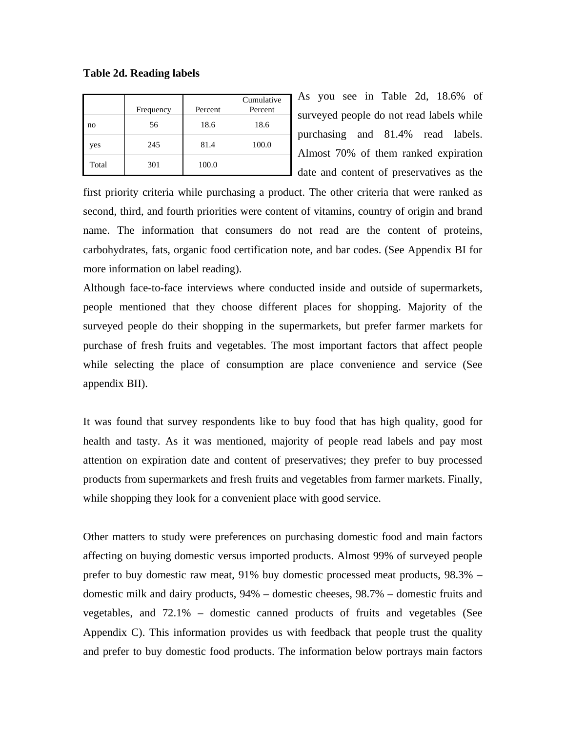|       | Frequency | Percent | Cumulative<br>Percent |
|-------|-----------|---------|-----------------------|
| no    | 56        | 18.6    | 18.6                  |
| yes   | 245       | 81.4    | 100.0                 |
| Total | 301       | 100.0   |                       |

**Table 2d. Reading labels** 

As you see in Table 2d, 18.6% of surveyed people do not read labels while purchasing and 81.4% read labels. Almost 70% of them ranked expiration date and content of preservatives as the

first priority criteria while purchasing a product. The other criteria that were ranked as second, third, and fourth priorities were content of vitamins, country of origin and brand name. The information that consumers do not read are the content of proteins, carbohydrates, fats, organic food certification note, and bar codes. (See Appendix BI for more information on label reading).

Although face-to-face interviews where conducted inside and outside of supermarkets, people mentioned that they choose different places for shopping. Majority of the surveyed people do their shopping in the supermarkets, but prefer farmer markets for purchase of fresh fruits and vegetables. The most important factors that affect people while selecting the place of consumption are place convenience and service (See appendix BII).

It was found that survey respondents like to buy food that has high quality, good for health and tasty. As it was mentioned, majority of people read labels and pay most attention on expiration date and content of preservatives; they prefer to buy processed products from supermarkets and fresh fruits and vegetables from farmer markets. Finally, while shopping they look for a convenient place with good service.

Other matters to study were preferences on purchasing domestic food and main factors affecting on buying domestic versus imported products. Almost 99% of surveyed people prefer to buy domestic raw meat, 91% buy domestic processed meat products, 98.3% – domestic milk and dairy products, 94% – domestic cheeses, 98.7% – domestic fruits and vegetables, and 72.1% – domestic canned products of fruits and vegetables (See Appendix C). This information provides us with feedback that people trust the quality and prefer to buy domestic food products. The information below portrays main factors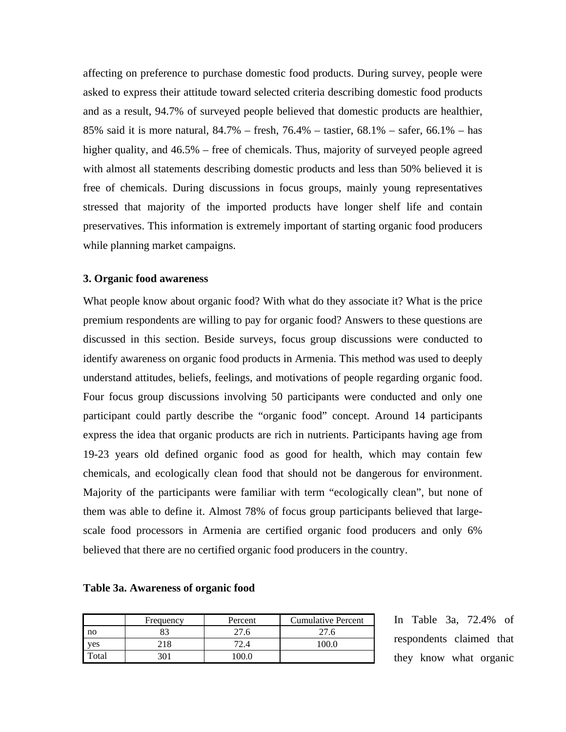affecting on preference to purchase domestic food products. During survey, people were asked to express their attitude toward selected criteria describing domestic food products and as a result, 94.7% of surveyed people believed that domestic products are healthier, 85% said it is more natural, 84.7% – fresh, 76.4% – tastier, 68.1% – safer, 66.1% – has higher quality, and 46.5% – free of chemicals. Thus, majority of surveyed people agreed with almost all statements describing domestic products and less than 50% believed it is free of chemicals. During discussions in focus groups, mainly young representatives stressed that majority of the imported products have longer shelf life and contain preservatives. This information is extremely important of starting organic food producers while planning market campaigns.

#### **3. Organic food awareness**

What people know about organic food? With what do they associate it? What is the price premium respondents are willing to pay for organic food? Answers to these questions are discussed in this section. Beside surveys, focus group discussions were conducted to identify awareness on organic food products in Armenia. This method was used to deeply understand attitudes, beliefs, feelings, and motivations of people regarding organic food. Four focus group discussions involving 50 participants were conducted and only one participant could partly describe the "organic food" concept. Around 14 participants express the idea that organic products are rich in nutrients. Participants having age from 19-23 years old defined organic food as good for health, which may contain few chemicals, and ecologically clean food that should not be dangerous for environment. Majority of the participants were familiar with term "ecologically clean", but none of them was able to define it. Almost 78% of focus group participants believed that largescale food processors in Armenia are certified organic food producers and only 6% believed that there are no certified organic food producers in the country.

|       | Frequency | Percent | <b>Cumulative Percent</b> |
|-------|-----------|---------|---------------------------|
| no    |           | 27.6    | 27.6                      |
| ves   | 218       |         | 0.001                     |
| `otal | 30.       |         |                           |

| Table 3a. Awareness of organic food |  |
|-------------------------------------|--|
|-------------------------------------|--|

In Table 3a, 72.4% of respondents claimed that they know what organic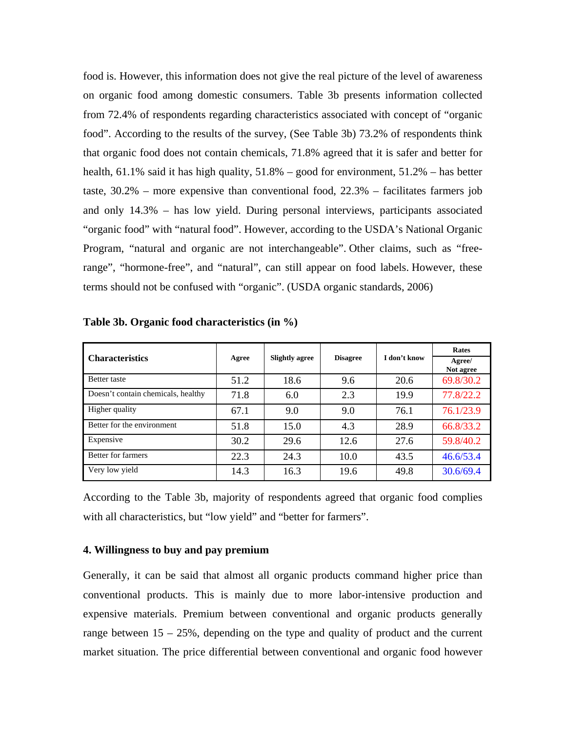food is. However, this information does not give the real picture of the level of awareness on organic food among domestic consumers. Table 3b presents information collected from 72.4% of respondents regarding characteristics associated with concept of "organic food". According to the results of the survey, (See Table 3b) 73.2% of respondents think that organic food does not contain chemicals, 71.8% agreed that it is safer and better for health, 61.1% said it has high quality, 51.8% – good for environment, 51.2% – has better taste, 30.2% – more expensive than conventional food, 22.3% – facilitates farmers job and only 14.3% – has low yield. During personal interviews, participants associated "organic food" with "natural food". However, according to the USDA's National Organic Program, "natural and organic are not interchangeable". Other claims, such as "freerange", "hormone-free", and "natural", can still appear on food labels. However, these terms should not be confused with "organic". (USDA organic standards, 2006)

|                                    |       | <b>Slightly agree</b> |                 |              | <b>Rates</b>        |
|------------------------------------|-------|-----------------------|-----------------|--------------|---------------------|
| <b>Characteristics</b>             | Agree |                       | <b>Disagree</b> | I don't know | Agree/<br>Not agree |
| Better taste                       | 51.2  | 18.6                  | 9.6             | 20.6         | 69.8/30.2           |
| Doesn't contain chemicals, healthy | 71.8  | 6.0                   | 2.3             | 19.9         | 77.8/22.2           |
| Higher quality                     | 67.1  | 9.0                   | 9.0             | 76.1         | 76.1/23.9           |
| Better for the environment         | 51.8  | 15.0                  | 4.3             | 28.9         | 66.8/33.2           |
| Expensive                          | 30.2  | 29.6                  | 12.6            | 27.6         | 59.8/40.2           |
| <b>Better for farmers</b>          | 22.3  | 24.3                  | 10.0            | 43.5         | 46.6/53.4           |
| Very low yield                     | 14.3  | 16.3                  | 19.6            | 49.8         | 30.6/69.4           |

**Table 3b. Organic food characteristics (in %)** 

According to the Table 3b, majority of respondents agreed that organic food complies with all characteristics, but "low yield" and "better for farmers".

#### **4. Willingness to buy and pay premium**

Generally, it can be said that almost all organic products command higher price than conventional products. This is mainly due to more labor-intensive production and expensive materials. Premium between conventional and organic products generally range between  $15 - 25\%$ , depending on the type and quality of product and the current market situation. The price differential between conventional and organic food however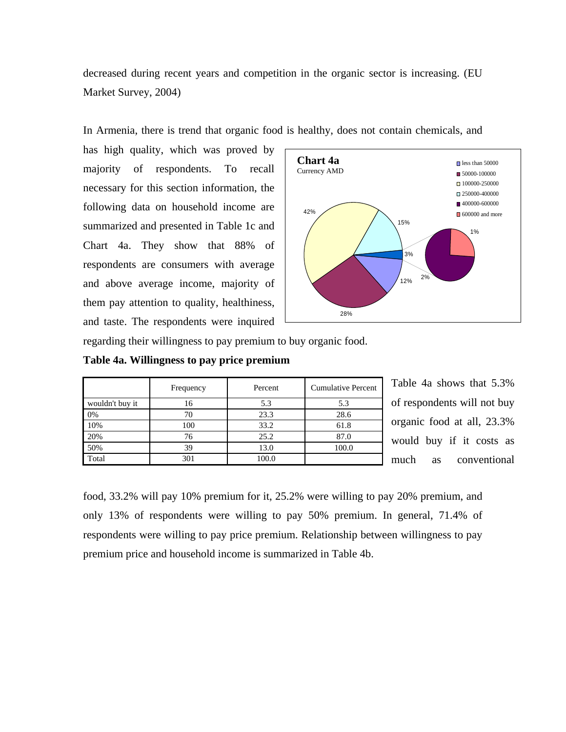decreased during recent years and competition in the organic sector is increasing. (EU Market Survey, 2004)

In Armenia, there is trend that organic food is healthy, does not contain chemicals, and

has high quality, which was proved by majority of respondents. To recall necessary for this section information, the following data on household income are summarized and presented in Table 1c and Chart 4a. They show that 88% of respondents are consumers with average and above average income, majority of them pay attention to quality, healthiness, and taste. The respondents were inquired



regarding their willingness to pay premium to buy organic food.

| Table 4a. Willingness to pay price premium |  |  |
|--------------------------------------------|--|--|
|                                            |  |  |

|                 | Frequency | Percent | <b>Cumulative Percent</b> |
|-----------------|-----------|---------|---------------------------|
| wouldn't buy it | 16        | 5.3     | 5.3                       |
| 0%              | 70        | 23.3    | 28.6                      |
| 10%             | 100       | 33.2    | 61.8                      |
| 20%             | 76        | 25.2    | 87.0                      |
| 50%             | 39        | 13.0    | 100.0                     |
| Total           | 301       | 100.0   |                           |

Table 4a shows that 5.3% of respondents will not buy organic food at all, 23.3% would buy if it costs as much as conventional

food, 33.2% will pay 10% premium for it, 25.2% were willing to pay 20% premium, and only 13% of respondents were willing to pay 50% premium. In general, 71.4% of respondents were willing to pay price premium. Relationship between willingness to pay premium price and household income is summarized in Table 4b.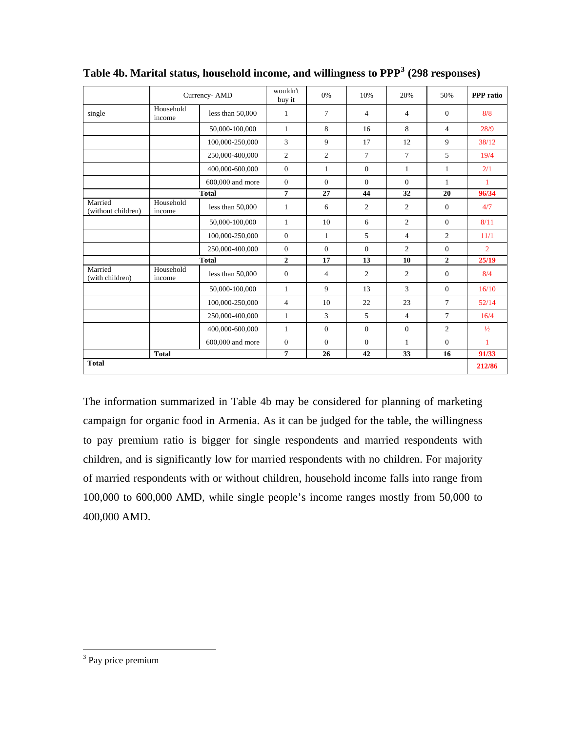|                               |                     | Currency-AMD       | wouldn't<br>buy it | 0%             | 10%            | 20%            | 50%            | <b>PPP</b> ratio |
|-------------------------------|---------------------|--------------------|--------------------|----------------|----------------|----------------|----------------|------------------|
| single                        | Household<br>income | less than 50,000   | 1                  | $\overline{7}$ | $\overline{4}$ | $\overline{4}$ | $\mathbf{0}$   | 8/8              |
|                               |                     | 50,000-100,000     | $\mathbf{1}$       | 8              | 16             | 8              | $\overline{4}$ | 28/9             |
|                               |                     | 100,000-250,000    | 3                  | $\mathbf{Q}$   | 17             | 12             | 9              | 38/12            |
|                               |                     | 250,000-400,000    | $\overline{2}$     | $\overline{2}$ | $\overline{7}$ | $\tau$         | 5              | 19/4             |
|                               |                     | 400,000-600,000    | $\overline{0}$     | 1              | $\mathbf{0}$   | $\mathbf{1}$   | $\mathbf{1}$   | 2/1              |
|                               |                     | 600,000 and more   | $\overline{0}$     | $\mathbf{0}$   | $\Omega$       | $\Omega$       | $\mathbf{1}$   | 1                |
|                               |                     | <b>Total</b>       | 7                  | 27             | 44             | 32             | 20             | 96/34            |
| Married<br>(without children) | Household<br>income | less than $50,000$ | $\mathbf{1}$       | 6              | $\overline{2}$ | $\overline{c}$ | $\mathbf{0}$   | 4/7              |
|                               |                     | 50,000-100,000     | $\mathbf{1}$       | 10             | 6              | $\overline{2}$ | $\Omega$       | 8/11             |
|                               |                     | 100,000-250,000    | $\overline{0}$     | $\mathbf{1}$   | 5              | $\overline{4}$ | $\overline{2}$ | 11/1             |
|                               |                     | 250,000-400,000    | $\mathbf{0}$       | $\mathbf{0}$   | $\mathbf{0}$   | $\overline{2}$ | $\overline{0}$ | $\overline{2}$   |
|                               |                     | <b>Total</b>       | $\overline{2}$     | 17             | 13             | 10             | $\overline{2}$ | 25/19            |
| Married<br>(with children)    | Household<br>income | less than $50,000$ | $\mathbf{0}$       | $\overline{4}$ | 2              | $\overline{c}$ | $\overline{0}$ | 8/4              |
|                               |                     | 50,000-100,000     | $\mathbf{1}$       | $\mathbf{Q}$   | 13             | 3              | $\mathbf{0}$   | 16/10            |
|                               |                     | 100,000-250,000    | $\overline{4}$     | 10             | 22             | 23             | 7              | 52/14            |
|                               |                     | 250,000-400,000    | $\mathbf{1}$       | 3              | 5              | $\overline{4}$ | 7              | 16/4             |
|                               |                     | 400,000-600,000    | $\mathbf{1}$       | $\overline{0}$ | $\mathbf{0}$   | $\overline{0}$ | $\overline{c}$ | $\frac{1}{2}$    |
|                               |                     | 600,000 and more   | $\mathbf{0}$       | $\mathbf{0}$   | $\Omega$       | $\mathbf{1}$   | $\overline{0}$ | $\mathbf{1}$     |
|                               | <b>Total</b>        |                    | $\overline{7}$     | 26             | 42             | 33             | 16             | 91/33            |
| <b>Total</b>                  |                     |                    |                    |                |                |                |                | 212/86           |

**Table 4b. Marital status, household income, and willingness to PPP[3](#page-23-0) (298 responses)** 

The information summarized in Table 4b may be considered for planning of marketing campaign for organic food in Armenia. As it can be judged for the table, the willingness to pay premium ratio is bigger for single respondents and married respondents with children, and is significantly low for married respondents with no children. For majority of married respondents with or without children, household income falls into range from 100,000 to 600,000 AMD, while single people's income ranges mostly from 50,000 to 400,000 AMD.

 $\overline{a}$ 

<span id="page-23-0"></span><sup>&</sup>lt;sup>3</sup> Pay price premium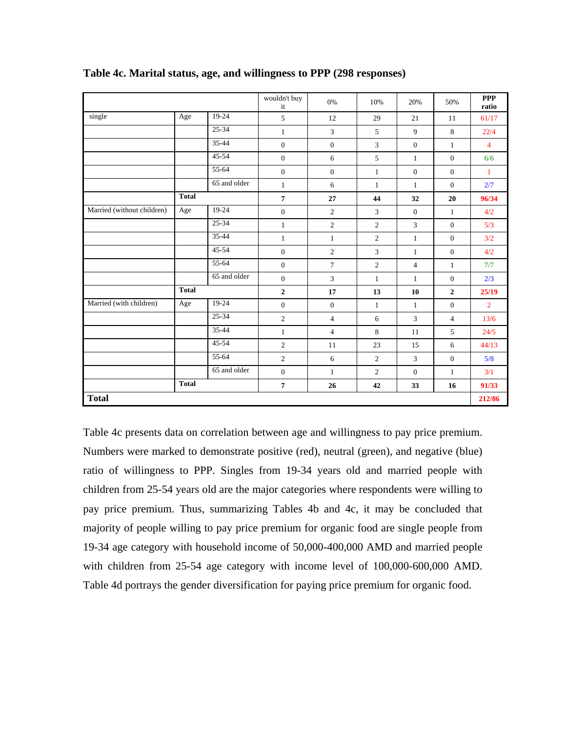|                            |              |              | wouldn't buy<br>it | 0%             | 10%            | 20%            | 50%            | <b>PPP</b><br>ratio |
|----------------------------|--------------|--------------|--------------------|----------------|----------------|----------------|----------------|---------------------|
| single                     | Age          | 19-24        | 5                  | 12             | 29             | 21             | 11             | 61/17               |
|                            |              | $25 - 34$    | $\mathbf{1}$       | $\mathfrak{Z}$ | 5              | 9              | $8\,$          | 22/4                |
|                            |              | $35 - 44$    | $\mathbf{0}$       | $\mathbf{0}$   | $\overline{3}$ | $\mathbf{0}$   | $\mathbf{1}$   | $\overline{4}$      |
|                            |              | 45-54        | $\overline{0}$     | 6              | 5              | $\mathbf{1}$   | $\mathbf{0}$   | 6/6                 |
|                            |              | 55-64        | $\overline{0}$     | $\overline{0}$ | $\mathbf{1}$   | $\mathbf{0}$   | $\mathbf{0}$   | $\mathbf{1}$        |
|                            |              | 65 and older | $\mathbf{1}$       | 6              | $\mathbf{1}$   | $\mathbf{1}$   | $\overline{0}$ | 2/7                 |
|                            | <b>Total</b> |              | $\overline{7}$     | 27             | 44             | 32             | 20             | 96/34               |
| Married (without children) | Age          | 19-24        | $\mathbf{0}$       | $\mathbf{2}$   | 3              | $\mathbf{0}$   | $\mathbf{1}$   | 4/2                 |
|                            |              | 25-34        | $\mathbf{1}$       | $\mathbf{2}$   | $\overline{2}$ | 3              | $\overline{0}$ | 5/3                 |
|                            |              | 35-44        | $\mathbf{1}$       | $\mathbf{1}$   | $\overline{2}$ | $\mathbf{1}$   | $\mathbf{0}$   | 3/2                 |
|                            |              | $45 - 54$    | $\overline{0}$     | $\overline{2}$ | 3              | 1              | $\mathbf{0}$   | 4/2                 |
|                            |              | 55-64        | $\overline{0}$     | $\overline{7}$ | $\overline{c}$ | $\overline{4}$ | $\mathbf{1}$   | 7/7                 |
|                            |              | 65 and older | $\overline{0}$     | $\overline{3}$ | $\mathbf{1}$   | $\mathbf{1}$   | $\mathbf{0}$   | 2/3                 |
|                            | <b>Total</b> |              | $\overline{2}$     | 17             | 13             | 10             | $\mathbf{2}$   | 25/19               |
| Married (with children)    | Age          | 19-24        | $\overline{0}$     | $\mathbf{0}$   | $\mathbf{1}$   | $\mathbf{1}$   | $\mathbf{0}$   | $\overline{2}$      |
|                            |              | 25-34        | $\overline{2}$     | $\overline{4}$ | 6              | 3              | $\overline{4}$ | 13/6                |
|                            |              | 35-44        | $\mathbf{1}$       | $\overline{4}$ | 8              | 11             | 5              | 24/5                |
|                            |              | $45 - 54$    | $\overline{2}$     | 11             | 23             | 15             | 6              | 44/13               |
|                            |              | 55-64        | $\overline{2}$     | 6              | $\overline{2}$ | 3              | $\overline{0}$ | 5/8                 |
|                            |              | 65 and older | $\overline{0}$     | $\mathbf{1}$   | $\overline{2}$ | $\mathbf{0}$   | $\mathbf{1}$   | 3/1                 |
|                            | <b>Total</b> |              | $\overline{7}$     | 26             | 42             | 33             | 16             | 91/33               |
| <b>Total</b>               |              |              |                    |                |                |                |                | 212/86              |

**Table 4c. Marital status, age, and willingness to PPP (298 responses)** 

Table 4c presents data on correlation between age and willingness to pay price premium. Numbers were marked to demonstrate positive (red), neutral (green), and negative (blue) ratio of willingness to PPP. Singles from 19-34 years old and married people with children from 25-54 years old are the major categories where respondents were willing to pay price premium. Thus, summarizing Tables 4b and 4c, it may be concluded that majority of people willing to pay price premium for organic food are single people from 19-34 age category with household income of 50,000-400,000 AMD and married people with children from 25-54 age category with income level of 100,000-600,000 AMD. Table 4d portrays the gender diversification for paying price premium for organic food. .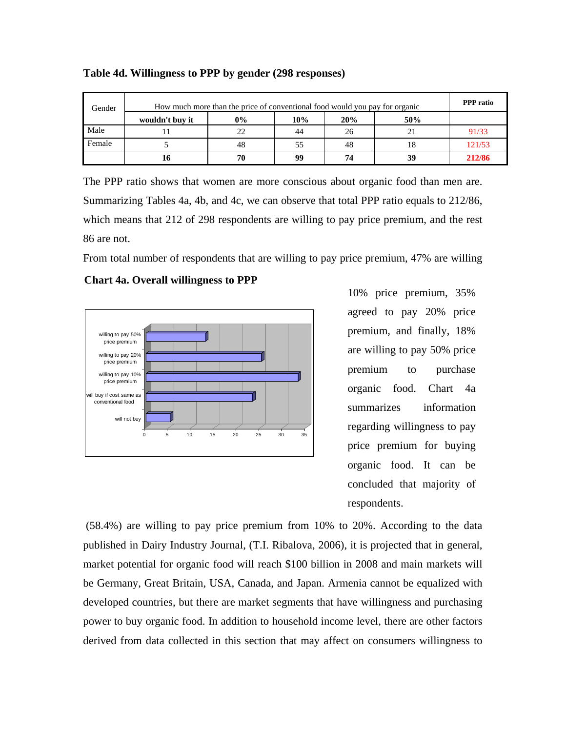| Gender | How much more than the price of conventional food would you pay for organic |       |     |     |     |        |  |
|--------|-----------------------------------------------------------------------------|-------|-----|-----|-----|--------|--|
|        | wouldn't buy it                                                             | $0\%$ | 10% | 20% | 50% |        |  |
| Male   |                                                                             | 22    | 44  | 26  |     | 91/33  |  |
| Female |                                                                             | 48    | 55  | 48  | 18  | 121/53 |  |
|        | 10                                                                          | 70    | 99  | 74  | 39  | 212/86 |  |

**Table 4d. Willingness to PPP by gender (298 responses)** 

The PPP ratio shows that women are more conscious about organic food than men are. Summarizing Tables 4a, 4b, and 4c, we can observe that total PPP ratio equals to 212/86, which means that 212 of 298 respondents are willing to pay price premium, and the rest 86 are not.

From total number of respondents that are willing to pay price premium, 47% are willing

## Chart 4a. Overall willingness to PPP



10% price premium, 35% agreed to pay 20% price premium, and finally, 18% are willing to pay 50% price premium to purchase organic food. Chart 4a summarizes information regarding willingness to pay price premium for buying organic food. It can be concluded that majority of respondents.

 (58.4%) are willing to pay price premium from 10% to 20%. According to the data published in Dairy Industry Journal, (T.I. Ribalova, 2006), it is projected that in general, market potential for organic food will reach \$100 billion in 2008 and main markets will be Germany, Great Britain, USA, Canada, and Japan. Armenia cannot be equalized with developed countries, but there are market segments that have willingness and purchasing power to buy organic food. In addition to household income level, there are other factors derived from data collected in this section that may affect on consumers willingness to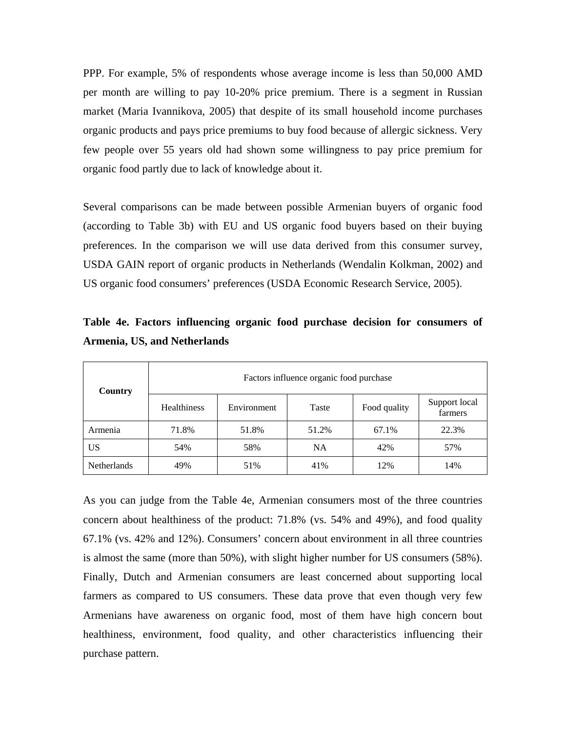PPP. For example, 5% of respondents whose average income is less than 50,000 AMD per month are willing to pay 10-20% price premium. There is a segment in Russian market (Maria Ivannikova, 2005) that despite of its small household income purchases organic products and pays price premiums to buy food because of allergic sickness. Very few people over 55 years old had shown some willingness to pay price premium for organic food partly due to lack of knowledge about it.

Several comparisons can be made between possible Armenian buyers of organic food (according to Table 3b) with EU and US organic food buyers based on their buying preferences. In the comparison we will use data derived from this consumer survey, USDA GAIN report of organic products in Netherlands (Wendalin Kolkman, 2002) and US organic food consumers' preferences (USDA Economic Research Service, 2005).

| Country            | Factors influence organic food purchase |             |           |              |                          |  |  |  |
|--------------------|-----------------------------------------|-------------|-----------|--------------|--------------------------|--|--|--|
|                    | <b>Healthiness</b>                      | Environment | Taste     | Food quality | Support local<br>farmers |  |  |  |
| Armenia            | 71.8%                                   | 51.8%       | 51.2%     | 67.1%        | 22.3%                    |  |  |  |
| US                 | 54%                                     | 58%         | <b>NA</b> | 42%          | 57%                      |  |  |  |
| <b>Netherlands</b> | 49%                                     | 51%         | 41%       | 12%          | 14%                      |  |  |  |

**Table 4e. Factors influencing organic food purchase decision for consumers of Armenia, US, and Netherlands** 

As you can judge from the Table 4e, Armenian consumers most of the three countries concern about healthiness of the product: 71.8% (vs. 54% and 49%), and food quality 67.1% (vs. 42% and 12%). Consumers' concern about environment in all three countries is almost the same (more than 50%), with slight higher number for US consumers (58%). Finally, Dutch and Armenian consumers are least concerned about supporting local farmers as compared to US consumers. These data prove that even though very few Armenians have awareness on organic food, most of them have high concern bout healthiness, environment, food quality, and other characteristics influencing their purchase pattern.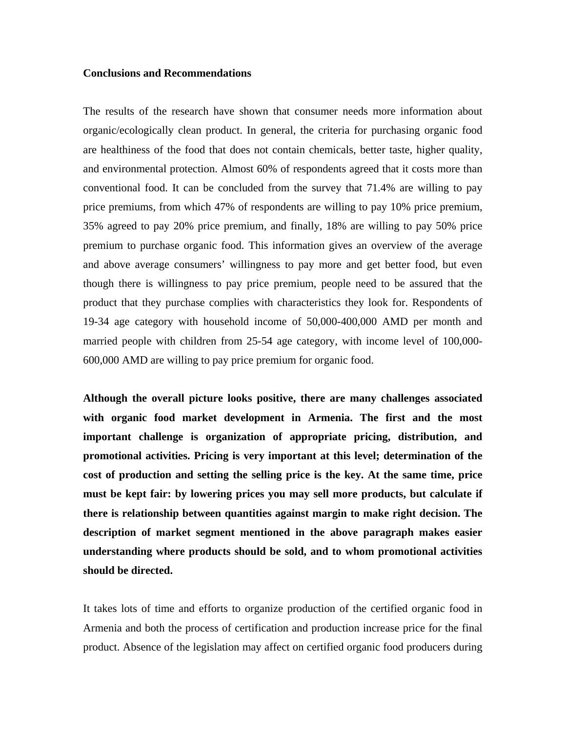#### **Conclusions and Recommendations**

The results of the research have shown that consumer needs more information about organic/ecologically clean product. In general, the criteria for purchasing organic food are healthiness of the food that does not contain chemicals, better taste, higher quality, and environmental protection. Almost 60% of respondents agreed that it costs more than conventional food. It can be concluded from the survey that 71.4% are willing to pay price premiums, from which 47% of respondents are willing to pay 10% price premium, 35% agreed to pay 20% price premium, and finally, 18% are willing to pay 50% price premium to purchase organic food. This information gives an overview of the average and above average consumers' willingness to pay more and get better food, but even though there is willingness to pay price premium, people need to be assured that the product that they purchase complies with characteristics they look for. Respondents of 19-34 age category with household income of 50,000-400,000 AMD per month and married people with children from 25-54 age category, with income level of 100,000- 600,000 AMD are willing to pay price premium for organic food.

**Although the overall picture looks positive, there are many challenges associated with organic food market development in Armenia. The first and the most important challenge is organization of appropriate pricing, distribution, and promotional activities. Pricing is very important at this level; determination of the cost of production and setting the selling price is the key. At the same time, price must be kept fair: by lowering prices you may sell more products, but calculate if there is relationship between quantities against margin to make right decision. The description of market segment mentioned in the above paragraph makes easier understanding where products should be sold, and to whom promotional activities should be directed.** 

It takes lots of time and efforts to organize production of the certified organic food in Armenia and both the process of certification and production increase price for the final product. Absence of the legislation may affect on certified organic food producers during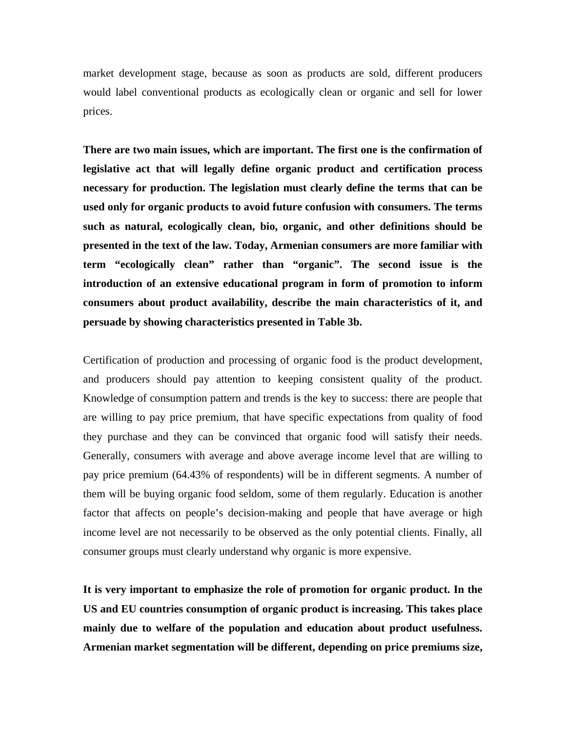market development stage, because as soon as products are sold, different producers would label conventional products as ecologically clean or organic and sell for lower prices.

**There are two main issues, which are important. The first one is the confirmation of legislative act that will legally define organic product and certification process necessary for production. The legislation must clearly define the terms that can be used only for organic products to avoid future confusion with consumers. The terms such as natural, ecologically clean, bio, organic, and other definitions should be presented in the text of the law. Today, Armenian consumers are more familiar with term "ecologically clean" rather than "organic". The second issue is the introduction of an extensive educational program in form of promotion to inform consumers about product availability, describe the main characteristics of it, and persuade by showing characteristics presented in Table 3b.** 

Certification of production and processing of organic food is the product development, and producers should pay attention to keeping consistent quality of the product. Knowledge of consumption pattern and trends is the key to success: there are people that are willing to pay price premium, that have specific expectations from quality of food they purchase and they can be convinced that organic food will satisfy their needs. Generally, consumers with average and above average income level that are willing to pay price premium (64.43% of respondents) will be in different segments. A number of them will be buying organic food seldom, some of them regularly. Education is another factor that affects on people's decision-making and people that have average or high income level are not necessarily to be observed as the only potential clients. Finally, all consumer groups must clearly understand why organic is more expensive.

**It is very important to emphasize the role of promotion for organic product. In the US and EU countries consumption of organic product is increasing. This takes place mainly due to welfare of the population and education about product usefulness. Armenian market segmentation will be different, depending on price premiums size,**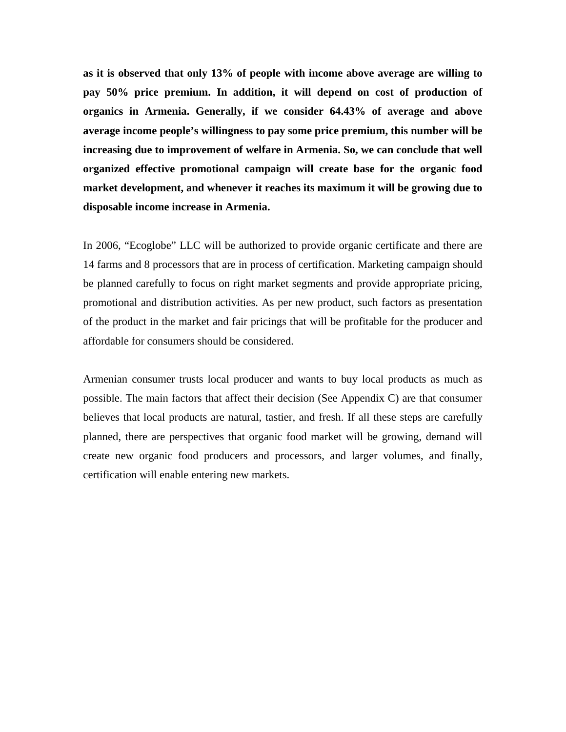**as it is observed that only 13% of people with income above average are willing to pay 50% price premium. In addition, it will depend on cost of production of organics in Armenia. Generally, if we consider 64.43% of average and above average income people's willingness to pay some price premium, this number will be increasing due to improvement of welfare in Armenia. So, we can conclude that well organized effective promotional campaign will create base for the organic food market development, and whenever it reaches its maximum it will be growing due to disposable income increase in Armenia.** 

In 2006, "Ecoglobe" LLC will be authorized to provide organic certificate and there are 14 farms and 8 processors that are in process of certification. Marketing campaign should be planned carefully to focus on right market segments and provide appropriate pricing, promotional and distribution activities. As per new product, such factors as presentation of the product in the market and fair pricings that will be profitable for the producer and affordable for consumers should be considered.

Armenian consumer trusts local producer and wants to buy local products as much as possible. The main factors that affect their decision (See Appendix C) are that consumer believes that local products are natural, tastier, and fresh. If all these steps are carefully planned, there are perspectives that organic food market will be growing, demand will create new organic food producers and processors, and larger volumes, and finally, certification will enable entering new markets.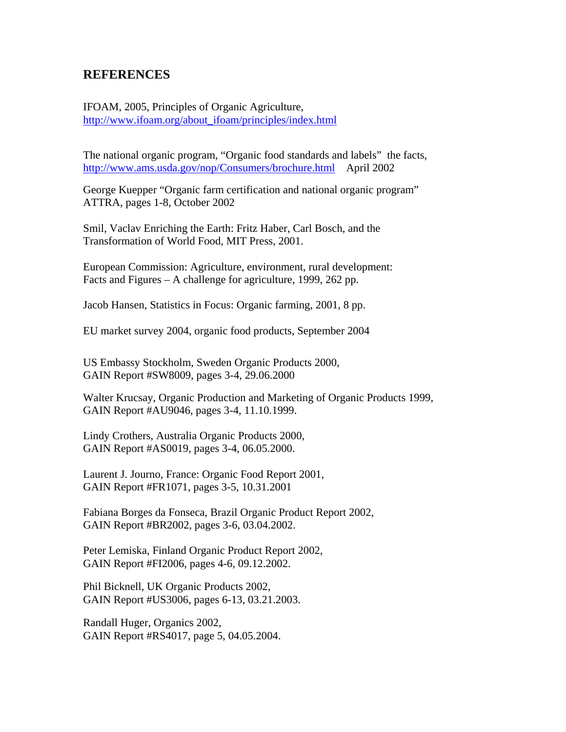## **REFERENCES**

IFOAM, 2005, Principles of Organic Agriculture, [http://www.ifoam.org/about\\_ifoam/principles/index.html](http://www.ifoam.org/about_ifoam/principles/index.html)

The national organic program, ["Organic food standards and labels" the facts](http://www.ams.usda.gov/nop/Consumers/brochure.html), <http://www.ams.usda.gov/nop/Consumers/brochure.html>April 2002

George Kuepper "Organic farm certification and national organic program" ATTRA, pages 1-8, October 2002

Smil, Vaclav Enriching the Earth: Fritz Haber, Carl Bosch, and the Transformation of World Food, MIT Press, 2001.

European Commission: Agriculture, environment, rural development: Facts and Figures – A challenge for agriculture, 1999, 262 pp.

Jacob Hansen, Statistics in Focus: Organic farming, 2001, 8 pp.

EU market survey 2004, organic food products, September 2004

US Embassy Stockholm, Sweden Organic Products 2000, GAIN Report #SW8009, pages 3-4, 29.06.2000

Walter Krucsay, Organic Production and Marketing of Organic Products 1999, GAIN Report #AU9046, pages 3-4, 11.10.1999.

Lindy Crothers, Australia Organic Products 2000, GAIN Report #AS0019, pages 3-4, 06.05.2000.

Laurent J. Journo, France: Organic Food Report 2001, GAIN Report #FR1071, pages 3-5, 10.31.2001

Fabiana Borges da Fonseca, Brazil Organic Product Report 2002, GAIN Report #BR2002, pages 3-6, 03.04.2002.

Peter Lemiska, Finland Organic Product Report 2002, GAIN Report #FI2006, pages 4-6, 09.12.2002.

Phil Bicknell, UK Organic Products 2002, GAIN Report #US3006, pages 6-13, 03.21.2003.

Randall Huger, Organics 2002, GAIN Report #RS4017, page 5, 04.05.2004.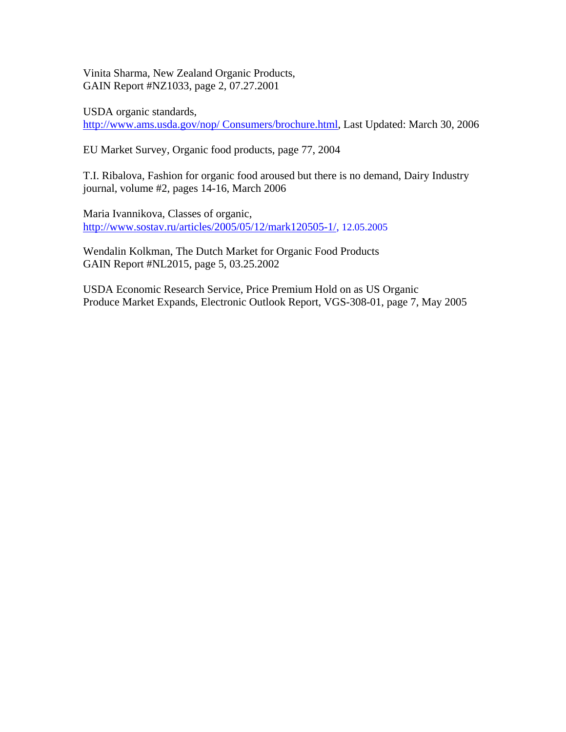Vinita Sharma, New Zealand Organic Products, GAIN Report #NZ1033, page 2, 07.27.2001

USDA organic standards,

[http://www.ams.usda.gov/nop/ Consumers/brochure.html,](http://www.ams.usda.gov/nop/%20Consumers/brochure.html) Last Updated: March 30, 2006

EU Market Survey, Organic food products, page 77, 2004

T.I. Ribalova, Fashion for organic food aroused but there is no demand, Dairy Industry journal, volume #2, pages 14-16, March 2006

Maria Ivannikova, Classes of organic, http://www.sostav.ru/articles/2005/05/12/mark120505-1/, 12.05.2005

Wendalin Kolkman, The Dutch Market for Organic Food Products GAIN Report #NL2015, page 5, 03.25.2002

USDA Economic Research Service, Price Premium Hold on as US Organic Produce Market Expands, Electronic Outlook Report, VGS-308-01, page 7, May 2005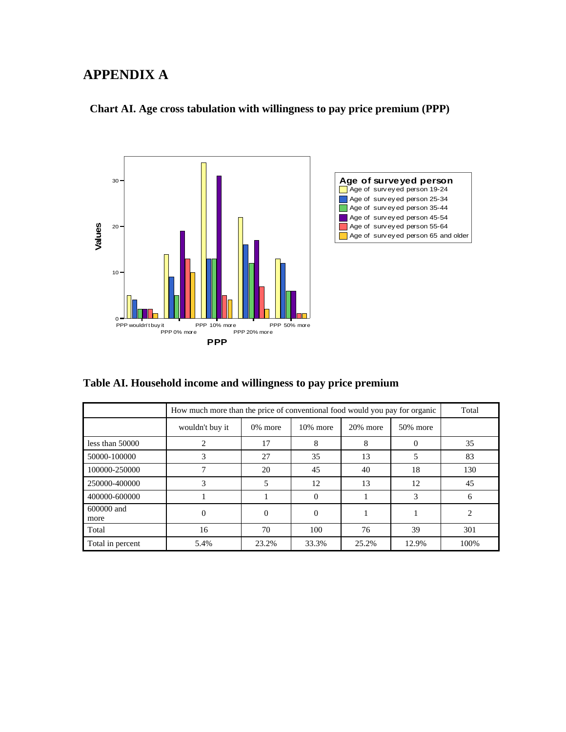## **APPENDIX A**

### **Chart AI. Age cross tabulation with willingness to pay price premium (PPP)**





**Table AI. Household income and willingness to pay price premium** 

|                    | How much more than the price of conventional food would you pay for organic |                          |             |             |          | Total                   |
|--------------------|-----------------------------------------------------------------------------|--------------------------|-------------|-------------|----------|-------------------------|
|                    | wouldn't buy it                                                             | 0% more                  | $10\%$ more | $20\%$ more | 50% more |                         |
| less than $50000$  | $\mathfrak{D}_{\mathfrak{p}}$                                               | 17                       | 8           | 8           | 0        | 35                      |
| 50000-100000       | 3                                                                           | 27                       | 35          | 13          | 5        | 83                      |
| 100000-250000      |                                                                             | 20                       | 45          | 40          | 18       | 130                     |
| 250000-400000      | 3                                                                           | $\overline{\phantom{0}}$ | 12          | 13          | 12       | 45                      |
| 400000-600000      |                                                                             |                          | $\Omega$    |             | 3        | 6                       |
| 600000 and<br>more | $\Omega$                                                                    | $\Omega$                 | $\Omega$    |             |          | $\mathcal{D}_{1}^{(1)}$ |
| Total              | 16                                                                          | 70                       | 100         | 76          | 39       | 301                     |
| Total in percent   | 5.4%                                                                        | 23.2%                    | 33.3%       | 25.2%       | 12.9%    | 100%                    |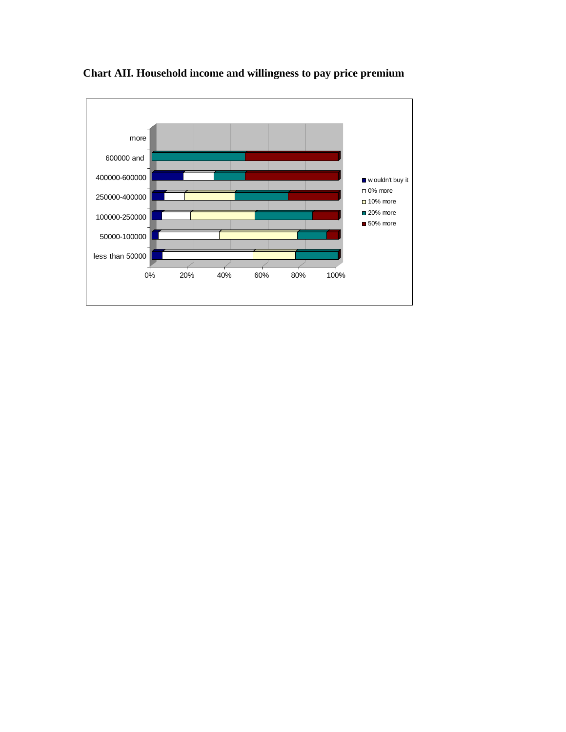

**Chart AII. Household income and willingness to pay price premium**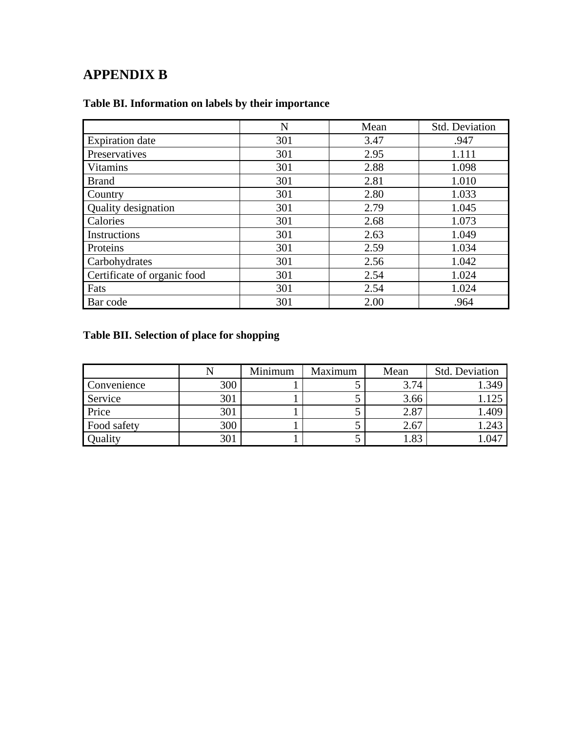# **APPENDIX B**

|                             | N   | Mean | <b>Std. Deviation</b> |
|-----------------------------|-----|------|-----------------------|
| <b>Expiration</b> date      | 301 | 3.47 | .947                  |
| Preservatives               | 301 | 2.95 | 1.111                 |
| <b>Vitamins</b>             | 301 | 2.88 | 1.098                 |
| <b>Brand</b>                | 301 | 2.81 | 1.010                 |
| Country                     | 301 | 2.80 | 1.033                 |
| <b>Quality designation</b>  | 301 | 2.79 | 1.045                 |
| Calories                    | 301 | 2.68 | 1.073                 |
| Instructions                | 301 | 2.63 | 1.049                 |
| Proteins                    | 301 | 2.59 | 1.034                 |
| Carbohydrates               | 301 | 2.56 | 1.042                 |
| Certificate of organic food | 301 | 2.54 | 1.024                 |
| Fats                        | 301 | 2.54 | 1.024                 |
| Bar code                    | 301 | 2.00 | .964                  |

## **Table BI. Information on labels by their importance**

## **Table BII. Selection of place for shopping**

|             |     | Minimum | Maximum | Mean | Std. Deviation |
|-------------|-----|---------|---------|------|----------------|
| Convenience | 300 |         |         | 3.74 | 1.349          |
| Service     | 301 |         |         | 3.66 | 1.125          |
| Price       | 301 |         | ັ       | 2.87 | 1.409          |
| Food safety | 300 |         |         | 2.67 | 1.243          |
| Quality     | 301 |         |         | 1.83 | 1.047          |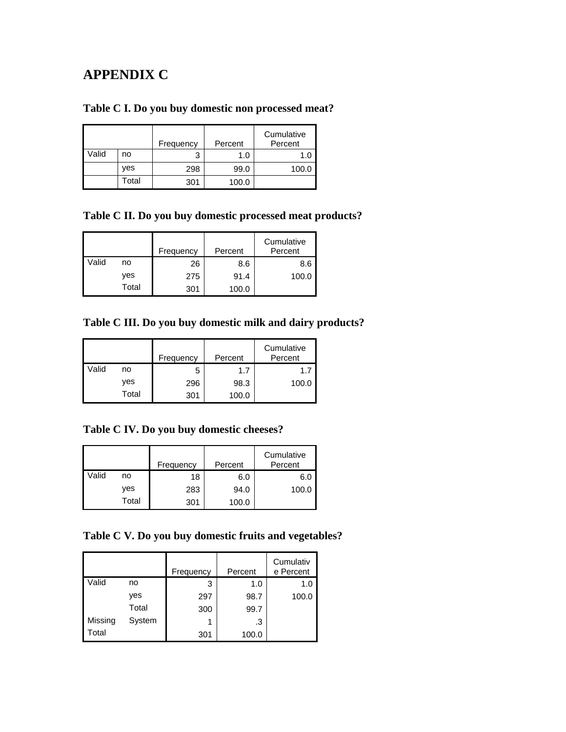## **APPENDIX C**

## **Table C I. Do you buy domestic non processed meat?**

|       |       | Frequency | Percent | Cumulative<br>Percent |
|-------|-------|-----------|---------|-----------------------|
| Valid | no    |           | 1.0     | 1.0                   |
|       | ves   | 298       | 99.0    | 100.0                 |
|       | Total | 301       | 100.0   |                       |

### **Table C II. Do you buy domestic processed meat products?**

|       |       | Frequency | Percent | Cumulative<br>Percent |
|-------|-------|-----------|---------|-----------------------|
| Valid | no    | 26        | 8.6     | 8.6                   |
|       | yes   | 275       | 91.4    | 100.0                 |
|       | Total | 301       | 100.0   |                       |

## **Table C III. Do you buy domestic milk and dairy products?**

|       |       | Frequency | Percent | Cumulative<br>Percent |
|-------|-------|-----------|---------|-----------------------|
| Valid | no    | 5         | 1.7     | 1.                    |
|       | yes   | 296       | 98.3    | 100.0                 |
|       | Total | 301       | 100.0   |                       |

### **Table C IV. Do you buy domestic cheeses?**

|       |       | Frequency | Percent | Cumulative<br>Percent |
|-------|-------|-----------|---------|-----------------------|
| Valid | no    | 18        | 6.0     | 6.C                   |
|       | yes   | 283       | 94.0    | 100.0                 |
|       | Total | 301       | 100.0   |                       |

## **Table C V. Do you buy domestic fruits and vegetables?**

|                |        | Frequency | Percent | Cumulativ<br>e Percent |
|----------------|--------|-----------|---------|------------------------|
| Valid          | no     | 3         | 1.0     | 1.0                    |
|                | yes    | 297       | 98.7    | 100.0                  |
|                | Total  | 300       | 99.7    |                        |
| <b>Missing</b> | System | 1         | .3      |                        |
| Total          |        | 301       | 100.0   |                        |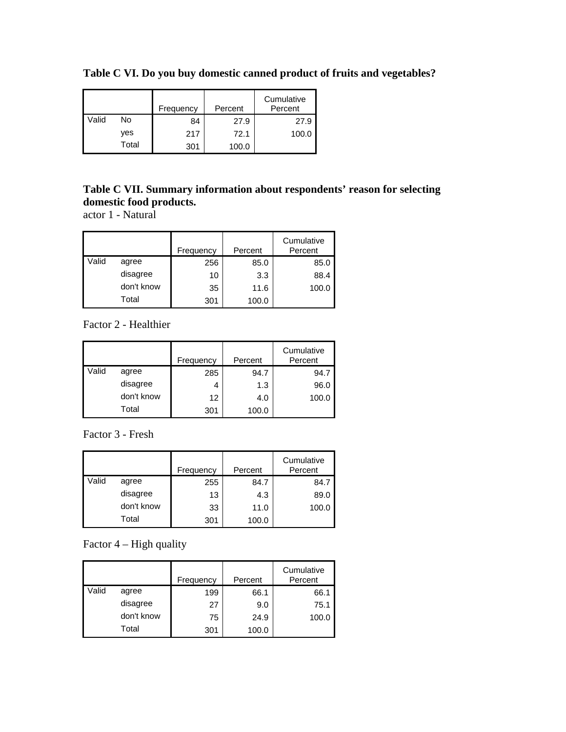|       |       | Frequency | Percent | Cumulative<br>Percent |
|-------|-------|-----------|---------|-----------------------|
| Valid | No    | 84        | 27.9    | 27.9                  |
|       | ves   | 217       | 72.1    | 100.0                 |
|       | Total | 301       | 100.0   |                       |

**Table C VI. Do you buy domestic canned product of fruits and vegetables?**

## **Table C VII. Summary information about respondents' reason for selecting domestic food products.**

actor 1 - Natural

|       |            | Frequency | Percent | Cumulative<br>Percent |
|-------|------------|-----------|---------|-----------------------|
| Valid | agree      | 256       | 85.0    | 85.0                  |
|       | disagree   | 10        | 3.3     | 88.4                  |
|       | don't know | 35        | 11.6    | 100.0                 |
|       | Total      | 301       | 100.0   |                       |

Factor 2 - Healthier

|       |            | Frequency | Percent | Cumulative<br>Percent |
|-------|------------|-----------|---------|-----------------------|
| Valid | agree      | 285       | 94.7    | 94.7                  |
|       | disagree   | 4         | 1.3     | 96.0                  |
|       | don't know | 12        | 4.0     | 100.0                 |
|       | Total      | 301       | 100.0   |                       |

Factor 3 - Fresh

|       |            | Frequency | Percent | Cumulative<br>Percent |
|-------|------------|-----------|---------|-----------------------|
| Valid | agree      | 255       | 84.7    | 84.7                  |
|       | disagree   | 13        | 4.3     | 89.0                  |
|       | don't know | 33        | 11.0    | 100.0                 |
|       | Total      | 301       | 100.0   |                       |

Factor 4 – High quality

|       |            | Frequency | Percent | Cumulative<br>Percent |
|-------|------------|-----------|---------|-----------------------|
| Valid | agree      | 199       | 66.1    | 66.1                  |
|       | disagree   | 27        | 9.0     | 75.1                  |
|       | don't know | 75        | 24.9    | 100.0                 |
|       | Total      | 301       | 100.0   |                       |